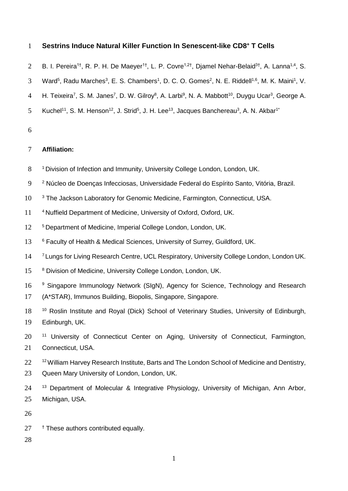## **Sestrins Induce Natural Killer Function In Senescent-like CD8<sup>+</sup>** 1 **T Cells**

- 2 B. I. Pereira<sup>1†</sup>, R. P. H. De Maeyer<sup>1†</sup>, L. P. Covre<sup>1,2†</sup>, Djamel Nehar-Belaid<sup>3†</sup>, A. Lanna<sup>1,4</sup>, S.
- 3 Ward<sup>5</sup>, Radu Marches<sup>3</sup>, E. S. Chambers<sup>1</sup>, D. C. O. Gomes<sup>2</sup>, N. E. Riddell<sup>1,6</sup>, M. K. Maini<sup>1</sup>, V.
- 4 H. Teixeira<sup>7</sup>, S. M. Janes<sup>7</sup>, D. W. Gilroy<sup>8</sup>, A. Larbi<sup>9</sup>, N. A. Mabbott<sup>10</sup>, Duygu Ucar<sup>3</sup>, George A.
- 5 Kuchel<sup>11</sup>, S. M. Henson<sup>12</sup>, J. Strid<sup>5</sup>, J. H. Lee<sup>13</sup>, Jacques Banchereau<sup>3</sup>, A. N. Akbar<sup>1\*</sup>
- 6

# 7 **Affiliation:**

- 8 <sup>1</sup> Division of Infection and Immunity, University College London, London, UK.
- 9 <sup>2</sup> Núcleo de Doenças Infecciosas, Universidade Federal do Espírito Santo, Vitória, Brazil.
- 10 <sup>3</sup> The Jackson Laboratory for Genomic Medicine, Farmington, Connecticut, USA.
- 11 <sup>4</sup>Nuffield Department of Medicine, University of Oxford, Oxford, UK.
- 12 <sup>5</sup> Department of Medicine, Imperial College London, London, UK.
- 13 <sup>6</sup> Faculty of Health & Medical Sciences, University of Surrey, Guildford, UK.
- <sup>7</sup> Lungs for Living Research Centre, UCL Respiratory, University College London, London UK.
- 15 8 Division of Medicine, University College London, London, UK.
- 16 <sup>9</sup> Singapore Immunology Network (SIgN), Agency for Science, Technology and Research
- 17 (A\*STAR), Immunos Building, Biopolis, Singapore, Singapore.
- 18 <sup>10</sup> Roslin Institute and Royal (Dick) School of Veterinary Studies, University of Edinburgh, 19 Edinburgh, UK.
- 20 <sup>11</sup> University of Connecticut Center on Aging, University of Connecticut, Farmington, 21 Connecticut, USA.
- 22 <sup>12</sup> William Harvey Research Institute, Barts and The London School of Medicine and Dentistry,
- 23 Queen Mary University of London, London, UK.
- 24 <sup>13</sup> Department of Molecular & Integrative Physiology, University of Michigan, Ann Arbor, 25 Michigan, USA.

26

27 t These authors contributed equally.

28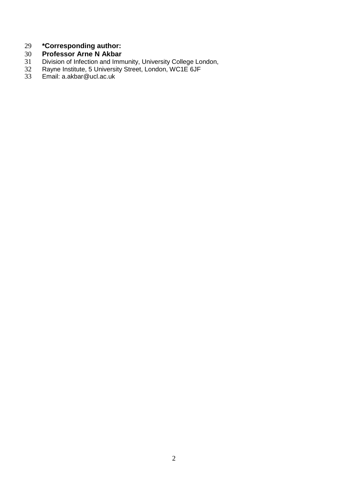# **\*Corresponding author:**

# **Professor Arne N Akbar**

- Division of Infection and Immunity, University College London,
- Rayne Institute, 5 University Street, London, WC1E 6JF
- Email: [a.akbar@ucl.ac.uk](mailto:a.akbar@ucl.ac.uk)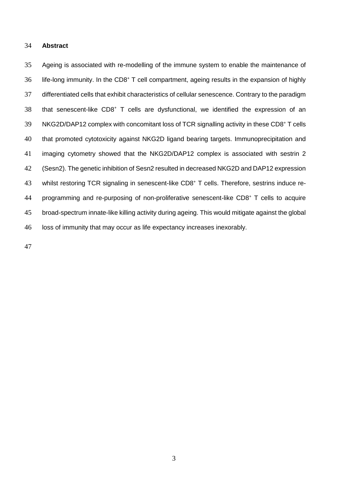#### **Abstract**

 Ageing is associated with re-modelling of the immune system to enable the maintenance of life-long immunity. In the CD8<sup>+</sup> T cell compartment, ageing results in the expansion of highly differentiated cells that exhibit characteristics of cellular senescence. Contrary to the paradigm 38 that senescent-like CD8<sup>+</sup> T cells are dysfunctional, we identified the expression of an 39 NKG2D/DAP12 complex with concomitant loss of TCR signalling activity in these CD8+ T cells that promoted cytotoxicity against NKG2D ligand bearing targets. Immunoprecipitation and imaging cytometry showed that the NKG2D/DAP12 complex is associated with sestrin 2 (Sesn2). The genetic inhibition of Sesn2 resulted in decreased NKG2D and DAP12 expression 43 whilst restoring TCR signaling in senescent-like CD8+ T cells. Therefore, sestrins induce re-44 programming and re-purposing of non-proliferative senescent-like  $CDS<sup>+</sup> T$  cells to acquire broad-spectrum innate-like killing activity during ageing. This would mitigate against the global loss of immunity that may occur as life expectancy increases inexorably.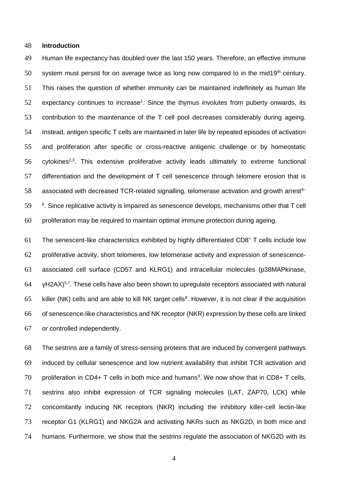#### **Introduction**

 Human life expectancy has doubled over the last 150 years. Therefore, an effective immune 50 system must persist for on average twice as long now compared to in the mid19<sup>th</sup> century. This raises the question of whether immunity can be maintained indefinitely as human life expectancy continues to increase<sup>1</sup>. Since the thymus involutes from puberty onwards, its contribution to the maintenance of the T cell pool decreases considerably during ageing. Instead, antigen specific T cells are maintained in later life by repeated episodes of activation and proliferation after specific or cross-reactive antigenic challenge or by homeostatic cytokines<sup>2,3</sup>. This extensive proliferative activity leads ultimately to extreme functional 57 differentiation and the development of T cell senescence through telomere erosion that is 58 associated with decreased TCR-related signalling, telomerase activation and growth arrest<sup>4-</sup> . Since replicative activity is impaired as senescence develops, mechanisms other that T cell proliferation may be required to maintain optimal immune protection during ageing.

 The senescent-like characteristics exhibited by highly differentiated CD8<sup>+</sup> T cells include low proliferative activity, short telomeres, low telomerase activity and expression of senescence- associated cell surface (CD57 and KLRG1) and intracellular molecules (p38MAPkinase,  $\blacktriangleright$  VH2AX)<sup>5,7</sup>. These cells have also been shown to upregulate receptors associated with natural 65 killer (NK) cells and are able to kill NK target cells<sup>8</sup>. However, it is not clear if the acquisition of senescence-like characteristics and NK receptor (NKR) expression by these cells are linked or controlled independently.

 The sestrins are a family of stress-sensing proteins that are induced by convergent pathways induced by cellular senescence and low nutrient availability that inhibit TCR activation and 70 proliferation in CD4+ T cells in both mice and humans<sup>9</sup>. We now show that in CD8+ T cells, sestrins also inhibit expression of TCR signaling molecules (LAT, ZAP70, LCK) while concomitantly inducing NK receptors (NKR) including the inhibitory killer-cell lectin-like receptor G1 (KLRG1) and NKG2A and activating NKRs such as NKG2D, in both mice and humans. Furthermore, we show that the sestrins regulate the association of NKG2D with its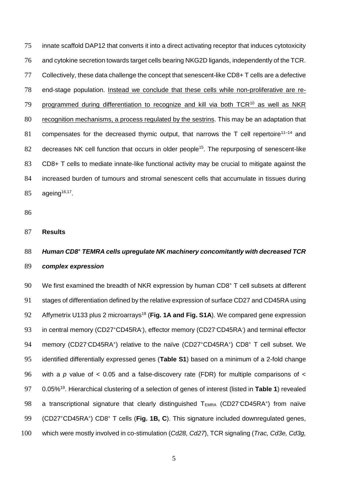innate scaffold DAP12 that converts it into a direct activating receptor that induces cytotoxicity and cytokine secretion towards target cells bearing NKG2D ligands, independently of the TCR. Collectively, these data challenge the concept that senescent-like CD8+ T cells are a defective end-stage population. Instead we conclude that these cells while non-proliferative are re-79 programmed during differentiation to recognize and kill via both  $TCR^{10}$  as well as NKR recognition mechanisms, a process regulated by the sestrins. This may be an adaptation that 81 compensates for the decreased thymic output, that narrows the T cell repertoire<sup>11-14</sup> and 82 decreases NK cell function that occurs in older people<sup>15</sup>. The repurposing of senescent-like CD8+ T cells to mediate innate-like functional activity may be crucial to mitigate against the increased burden of tumours and stromal senescent cells that accumulate in tissues during  $85 \qquad \text{ageing}^{16,17}$ .

86

#### 87 **Results**

# 88 *Human CD8<sup>+</sup> TEMRA cells upregulate NK machinery concomitantly with decreased TCR* 89 *complex expression*

90 We first examined the breadth of NKR expression by human  $CD8<sup>+</sup>$  T cell subsets at different 91 stages of differentiation defined by the relative expression of surface CD27 and CD45RA using 92 Affymetrix U133 plus 2 microarrays<sup>18</sup> (Fig. 1A and Fig. S1A). We compared gene expression 93 in central memory (CD27<sup>+</sup>CD45RA<sup>-</sup>), effector memory (CD27<sup>-</sup>CD45RA<sup>-</sup>) and terminal effector 94 memory (CD27 CD45RA<sup>+</sup>) relative to the naïve (CD27<sup>+</sup>CD45RA<sup>+</sup>) CD8<sup>+</sup> T cell subset. We 95 identified differentially expressed genes (**Table S1**) based on a minimum of a 2-fold change 96 with a *p* value of < 0.05 and a false-discovery rate (FDR) for multiple comparisons of < 0.05%<sup>19</sup> 97 . Hierarchical clustering of a selection of genes of interest (listed in **Table 1**) revealed 98 a transcriptional signature that clearly distinguished  $T_{EMRA}$  (CD27<sup>-</sup>CD45RA<sup>+</sup>) from naïve 99 (CD27<sup>+</sup>CD45RA<sup>+</sup>) CD8<sup>+</sup> T cells (Fig. 1B, C). This signature included downregulated genes, 100 which were mostly involved in co-stimulation (*Cd28, Cd27*), TCR signaling (*Trac, Cd3e, Cd3g,*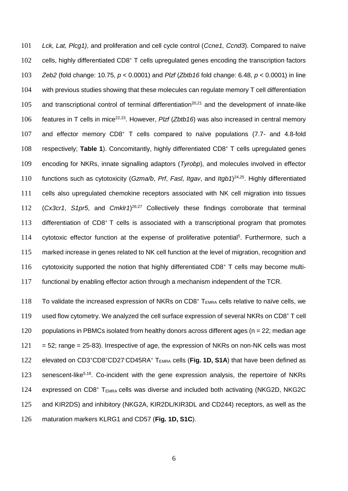101 *Lck, Lat, Plcg1)*, and proliferation and cell cycle control (*Ccne1, Ccnd3*). Compared to naïve 102 cells, highly differentiated CD8<sup>+</sup> T cells upregulated genes encoding the transcription factors 103 *Zeb2* (fold change: 10.75, *p* < 0.0001) and *Plzf* (*Zbtb16* fold change: 6.48, *p* < 0.0001) in line 104 with previous studies showing that these molecules can regulate memory T cell differentiation 105 and transcriptional control of terminal differentiation<sup>20,21</sup> and the development of innate-like 106 features in T cells in mice<sup>22,23</sup>. However, *Plzf* (*Zbtb16*) was also increased in central memory 107 and effector memory  $CD8<sup>+</sup>$  T cells compared to naïve populations (7.7- and 4.8-fold 108 respectively; Table 1). Concomitantly, highly differentiated CD8<sup>+</sup> T cells upregulated genes 109 encoding for NKRs, innate signalling adaptors (*Tyrobp*), and molecules involved in effector 110 functions such as cytotoxicity (*Gzma/b*, *Prf*, *Fasl*, *Itgav*, and *Itgb1*)<sup>24,25</sup>. Highly differentiated 111 cells also upregulated chemokine receptors associated with NK cell migration into tissues 112 (Cx3cr1, S1pr5, and Cmklr1)<sup>26,27</sup> Collectively these findings corroborate that terminal 113 differentiation of  $CD8<sup>+</sup> T$  cells is associated with a transcriptional program that promotes 114 cytotoxic effector function at the expense of proliferative potential<sup>5</sup>. Furthermore, such a 115 marked increase in genes related to NK cell function at the level of migration, recognition and 116 cytotoxicity supported the notion that highly differentiated  $CD8<sup>+</sup>$  T cells may become multi-117 functional by enabling effector action through a mechanism independent of the TCR.

118 To validate the increased expression of NKRs on CD8<sup>+</sup> T<sub>EMRA</sub> cells relative to naïve cells, we 119 used flow cytometry. We analyzed the cell surface expression of several NKRs on  $CD8^+$  T cell 120 populations in PBMCs isolated from healthy donors across different ages ( $n = 22$ ; median age  $121 = 52$ ; range = 25-83). Irrespective of age, the expression of NKRs on non-NK cells was most 122 elevated on CD3<sup>+</sup>CD8<sup>+</sup>CD27<sup>-</sup>CD45RA<sup>+</sup> T<sub>EMRA</sub> cells (Fig. 1D, S1A) that have been defined as 123 senescent-like<sup>5,18</sup>. Co-incident with the gene expression analysis, the repertoire of NKRs 124 expressed on  $CDB^+$  T<sub>EMRA</sub> cells was diverse and included both activating (NKG2D, NKG2C) 125 and KIR2DS) and inhibitory (NKG2A, KIR2DL/KIR3DL and CD244) receptors, as well as the 126 maturation markers KLRG1 and CD57 (**Fig. 1D, S1C**).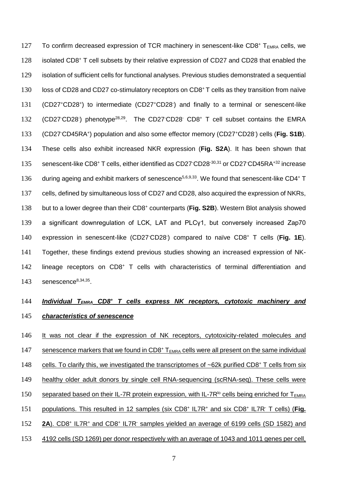127 To confirm decreased expression of TCR machinery in senescent-like CD8<sup>+</sup> T<sub>EMRA</sub> cells, we 128 isolated CD8<sup>+</sup> T cell subsets by their relative expression of CD27 and CD28 that enabled the 129 isolation of sufficient cells for functional analyses. Previous studies demonstrated a sequential l 30 loss of CD28 and CD27 co-stimulatory receptors on CD8<sup>+</sup> T cells as they transition from naïve 131 (CD27+CD28+) to intermediate (CD27+CD28) and finally to a terminal or senescent-like 132 (CD27<sup>-</sup>CD28<sup>-</sup>) phenotype<sup>28,29</sup>. The CD27<sup>-</sup>CD28<sup>-</sup> CD8<sup>+</sup> T cell subset contains the EMRA 133 (CD27<sup>-</sup>CD45RA<sup>+</sup>) population and also some effector memory (CD27<sup>+</sup>CD28<sup>-</sup>) cells (**Fig. S1B**). 134 These cells also exhibit increased NKR expression (**Fig. S2A**). It has been shown that 135 senescent-like CD8+ T cells, either identified as CD27 CD28<sup>-30,31</sup> or CD27 CD45RA<sup>+32</sup> increase 136 during ageing and exhibit markers of senescence<sup>5,6,9,33</sup>. We found that senescent-like CD4<sup>+</sup> T 137 cells, defined by simultaneous loss of CD27 and CD28, also acquired the expression of NKRs, 138 but to a lower degree than their CD8<sup>+</sup> counterparts (Fig. S2B). Western Blot analysis showed 139 a significant downregulation of LCK, LAT and PLCγ1, but conversely increased Zap70 140 expression in senescent-like (CD27<sup>-</sup>CD28<sup>-</sup>) compared to naïve CD8<sup>+</sup> T cells (Fig. 1E). 141 Together, these findings extend previous studies showing an increased expression of NK- $142$  lineage receptors on CD8<sup>+</sup> T cells with characteristics of terminal differentiation and  $143$  senescence<sup>8,34,35</sup>.

# 144 *Individual T<sub>EMRA</sub> CD8<sup>+</sup> T cells express NK receptors, cytotoxic machinery and* 145 *characteristics of senescence*

146 It was not clear if the expression of NK receptors, cytotoxicity-related molecules and 147 senescence markers that we found in  $CDS<sup>+</sup> T<sub>EMRA</sub>$  cells were all present on the same individual 148 cells. To clarify this, we investigated the transcriptomes of  $\sim$  62k purified CD8<sup>+</sup> T cells from six 149 healthy older adult donors by single cell RNA-sequencing (scRNA-seq). These cells were 150 separated based on their IL-7R protein expression, with IL-7R<sup>Io</sup> cells being enriched for T<sub>EMRA</sub> 151 populations. This resulted in 12 samples (six CD8<sup>+</sup> IL7R<sup>+</sup> and six CD8<sup>+</sup> IL7R<sup>-</sup> T cells) (Fig. 152 **2A**). CD8<sup>+</sup> IL7R<sup>+</sup> and CD8<sup>+</sup> IL7R<sup>-</sup> samples yielded an average of 6199 cells (SD 1582) and 153 4192 cells (SD 1269) per donor respectively with an average of 1043 and 1011 genes per cell,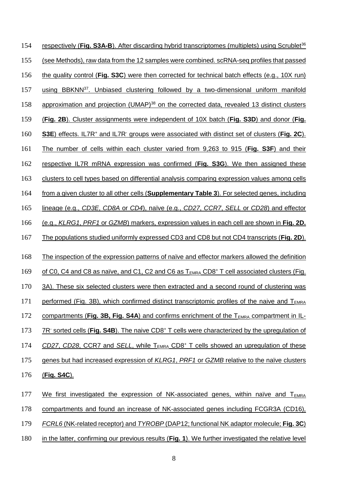154 respectively (**Fig. S3A-B**). After discarding hybrid transcriptomes (multiplets) using Scrublet<sup>36</sup> 155 (see Methods), raw data from the 12 samples were combined. scRNA-seq profiles that passed 156 the quality control (**Fig. S3C**) were then corrected for technical batch effects (e.g., 10X run) 157 using BBKNN<sup>37</sup>. Unbiased clustering followed by a two-dimensional uniform manifold 158 approximation and projection (UMAP)<sup>38</sup> on the corrected data, revealed 13 distinct clusters 159 (**Fig. 2B**). Cluster assignments were independent of 10X batch (**Fig. S3D**) and donor (**Fig.**  160 **S3E**) effects. IL7R<sup>+</sup> and IL7R<sup>-</sup> groups were associated with distinct set of clusters (Fig. 2C). 161 The number of cells within each cluster varied from 9,263 to 915 (**Fig. S3F**) and their 162 respective IL7R mRNA expression was confirmed (**Fig. S3G**). We then assigned these 163 clusters to cell types based on differential analysis comparing expression values among cells 164 from a given cluster to all other cells (**Supplementary Table 3**). For selected genes, including 165 lineage (e.g., *CD3E*, *CD8A* or *CD4*), naïve (e.g., *CD27*, *CCR7*, *SELL* or *CD28*) and effector 166 (e.g., *KLRG1*, *PRF1* or *GZMB*) markers, expression values in each cell are shown in **Fig. 2D.**  167 The populations studied uniformly expressed CD3 and CD8 but not CD4 transcripts (**Fig. 2D**). 168 The inspection of the expression patterns of naïve and effector markers allowed the definition 169 of C0, C4 and C8 as naïve, and C1, C2 and C6 as  $T_{EMRA}$  CD8<sup>+</sup> T cell associated clusters (Fig. 170 3A). These six selected clusters were then extracted and a second round of clustering was 171 performed (Fig. 3B), which confirmed distinct transcriptomic profiles of the naive and  $T_{EMRA}$ 172 compartments (Fig. 3B, Fig. S4A) and confirms enrichment of the T<sub>EMRA</sub> compartment in IL-173 TR<sup>-</sup> sorted cells (Fig. S4B). The naive CD8<sup>+</sup> T cells were characterized by the upregulation of 174 CD27, CD28, CCR7 and *SELL*, while T<sub>EMRA</sub> CD8<sup>+</sup> T cells showed an upregulation of these 175 genes but had increased expression of *KLRG1*, *PRF1* or *GZMB* relative to the naïve clusters 176 (**Fig. S4C**). 177 We first investigated the expression of NK-associated genes, within naïve and  $T_{EMRA}$ 178 compartments and found an increase of NK-associated genes including FCGR3A (CD16), 179 *FCRL6* (NK-related receptor) and *TYROBP* (DAP12; functional NK adaptor molecule; **Fig. 3C**)

180 in the latter, confirming our previous results (**Fig. 1**). We further investigated the relative level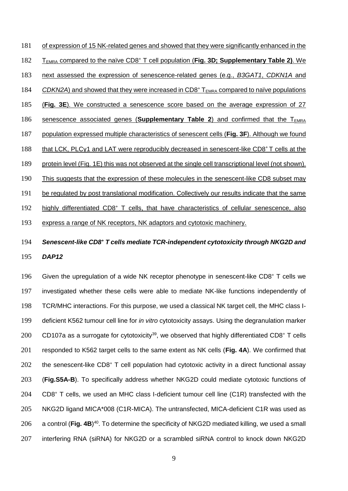181 of expression of 15 NK-related genes and showed that they were significantly enhanced in the **T**<sub>EMRA</sub> compared to the naïve CD8<sup>+</sup> T cell population (Fig. 3D; Supplementary Table 2). We next assessed the expression of senescence-related genes (e.g., *B3GAT1*, *CDKN1A* and 184 CDKN2A) and showed that they were increased in CD8<sup>+</sup> T<sub>EMRA</sub> compared to naïve populations (**Fig. 3E**). We constructed a senescence score based on the average expression of 27 186 senescence associated genes (**Supplementary Table 2**) and confirmed that the  $T_{FMRA}$  population expressed multiple characteristics of senescent cells (**Fig. 3F**). Although we found 188 that LCK, PLCy1 and LAT were reproducibly decreased in senescent-like CD8<sup>+</sup> T cells at the protein level (Fig. 1E) this was not observed at the single cell transcriptional level (not shown). This suggests that the expression of these molecules in the senescent-like CD8 subset may be regulated by post translational modification. Collectively our results indicate that the same 192 highly differentiated CD8<sup>+</sup> T cells, that have characteristics of cellular senescence, also express a range of NK receptors, NK adaptors and cytotoxic machinery.

# 194 Senescent-like CD8<sup>+</sup> T cells mediate TCR-independent cytotoxicity through NKG2D and 195 *DAP12*

196 Given the upregulation of a wide NK receptor phenotype in senescent-like  $CDS<sup>+</sup> T$  cells we 197 investigated whether these cells were able to mediate NK-like functions independently of 198 TCR/MHC interactions. For this purpose, we used a classical NK target cell, the MHC class I-199 deficient K562 tumour cell line for *in vitro* cytotoxicity assays. Using the degranulation marker 200 CD107a as a surrogate for cytotoxicity<sup>39</sup>, we observed that highly differentiated CD8<sup>+</sup> T cells 201 responded to K562 target cells to the same extent as NK cells (**Fig. 4A**). We confirmed that 202 the senescent-like CD8<sup>+</sup> T cell population had cytotoxic activity in a direct functional assay 203 (**Fig.S5A-B**). To specifically address whether NKG2D could mediate cytotoxic functions of 204 CD8<sup>+</sup> T cells, we used an MHC class I-deficient tumour cell line (C1R) transfected with the 205 NKG2D ligand MICA\*008 (C1R-MICA). The untransfected, MICA-deficient C1R was used as 206 a control (Fig. 4B)<sup>40</sup>. To determine the specificity of NKG2D mediated killing, we used a small 207 interfering RNA (siRNA) for NKG2D or a scrambled siRNA control to knock down NKG2D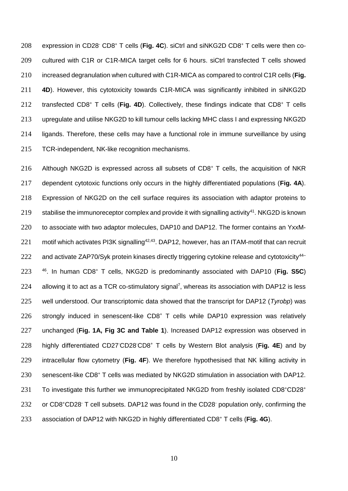208 expression in CD28<sup>-</sup> CD8<sup>+</sup> T cells (Fig. 4C). siCtrl and siNKG2D CD8<sup>+</sup> T cells were then co- cultured with C1R or C1R-MICA target cells for 6 hours. siCtrl transfected T cells showed increased degranulation when cultured with C1R-MICA as compared to control C1R cells (**Fig. 4D**). However, this cytotoxicity towards C1R-MICA was significantly inhibited in siNKG2D 212 transfected CD8<sup>+</sup> T cells (Fig. 4D). Collectively, these findings indicate that CD8<sup>+</sup> T cells upregulate and utilise NKG2D to kill tumour cells lacking MHC class I and expressing NKG2D ligands. Therefore, these cells may have a functional role in immune surveillance by using TCR-independent, NK-like recognition mechanisms.

216 Although NKG2D is expressed across all subsets of  $CD8<sup>+</sup>$  T cells, the acquisition of NKR 217 dependent cytotoxic functions only occurs in the highly differentiated populations (**Fig. 4A**). 218 Expression of NKG2D on the cell surface requires its association with adaptor proteins to 219 stabilise the immunoreceptor complex and provide it with signalling activity<sup>41</sup>. NKG2D is known 220 to associate with two adaptor molecules, DAP10 and DAP12. The former contains an YxxM-221 motif which activates PI3K signalling<sup>42,43</sup>. DAP12, however, has an ITAM-motif that can recruit 222 and activate ZAP70/Syk protein kinases directly triggering cytokine release and cytotoxicity<sup>44-</sup> 46 . In human CD8<sup>+</sup> 223 T cells, NKG2D is predominantly associated with DAP10 (**Fig. S5C**)  $224$  allowing it to act as a TCR co-stimulatory signal<sup>7</sup>, whereas its association with DAP12 is less 225 well understood. Our transcriptomic data showed that the transcript for DAP12 (*Tyrobp*) was 226 strongly induced in senescent-like CD8<sup>+</sup> T cells while DAP10 expression was relatively 227 unchanged (**Fig. 1A, Fig 3C and Table 1**). Increased DAP12 expression was observed in 228 highly differentiated CD27<sup>-</sup>CD28<sup>-</sup>CD8<sup>+</sup> T cells by Western Blot analysis (Fig. 4E) and by 229 intracellular flow cytometry (**Fig. 4F**). We therefore hypothesised that NK killing activity in 230 senescent-like CD8<sup>+</sup> T cells was mediated by NKG2D stimulation in association with DAP12. 231 To investigate this further we immunoprecipitated NKG2D from freshly isolated CD8+CD28+ 232 or CD8<sup>+</sup>CD28<sup>-</sup> T cell subsets. DAP12 was found in the CD28<sup>-</sup> population only, confirming the 233 association of DAP12 with NKG2D in highly differentiated CD8<sup>+</sup> T cells (Fig. 4G).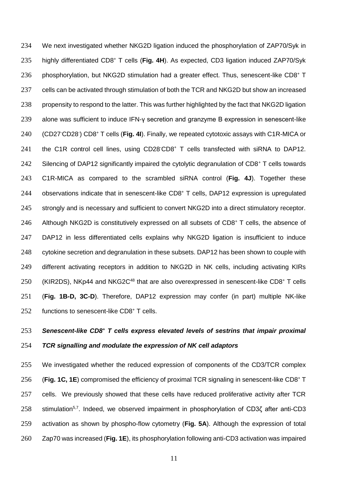We next investigated whether NKG2D ligation induced the phosphorylation of ZAP70/Syk in 235 highly differentiated CD8<sup>+</sup> T cells (Fig. 4H). As expected, CD3 ligation induced ZAP70/Syk 236 phosphorylation, but NKG2D stimulation had a greater effect. Thus, senescent-like  $CD8<sup>+</sup> T$  cells can be activated through stimulation of both the TCR and NKG2D but show an increased propensity to respond to the latter. This was further highlighted by the fact that NKG2D ligation 239 alone was sufficient to induce IFN-y secretion and granzyme B expression in senescent-like 240 (CD27<sup>-</sup>CD28<sup>-</sup>) CD8<sup>+</sup> T cells (Fig. 4I). Finally, we repeated cytotoxic assays with C1R-MICA or 241 the C1R control cell lines, using CD28<sup>-</sup>CD8<sup>+</sup> T cells transfected with siRNA to DAP12. 242 Silencing of DAP12 significantly impaired the cytolytic degranulation of CD8<sup>+</sup> T cells towards C1R-MICA as compared to the scrambled siRNA control (**Fig. 4J**). Together these observations indicate that in senescent-like CD8<sup>+</sup> T cells, DAP12 expression is upregulated strongly and is necessary and sufficient to convert NKG2D into a direct stimulatory receptor. 246 Although NKG2D is constitutively expressed on all subsets of  $CDB<sup>+</sup> T$  cells, the absence of DAP12 in less differentiated cells explains why NKG2D ligation is insufficient to induce cytokine secretion and degranulation in these subsets. DAP12 has been shown to couple with different activating receptors in addition to NKG2D in NK cells, including activating KIRs 250 (KIR2DS), NKp44 and NKG2C<sup>48</sup> that are also overexpressed in senescent-like CD8<sup>+</sup> T cells (**Fig. 1B-D, 3C-D**). Therefore, DAP12 expression may confer (in part) multiple NK-like 252 functions to senescent-like CD8+ T cells.

# *Senescent-like CD8<sup>+</sup> T cells express elevated levels of sestrins that impair proximal TCR signalling and modulate the expression of NK cell adaptors*

 We investigated whether the reduced expression of components of the CD3/TCR complex 256 (Fig. 1C, 1E) compromised the efficiency of proximal TCR signaling in senescent-like CD8<sup>+</sup> T cells. We previously showed that these cells have reduced proliferative activity after TCR stimulation<sup>5,7</sup>. Indeed, we observed impairment in phosphorylation of CD3 $\zeta$  after anti-CD3 activation as shown by phospho-flow cytometry (**Fig. 5A**). Although the expression of total Zap70 was increased (**Fig. 1E**), its phosphorylation following anti-CD3 activation was impaired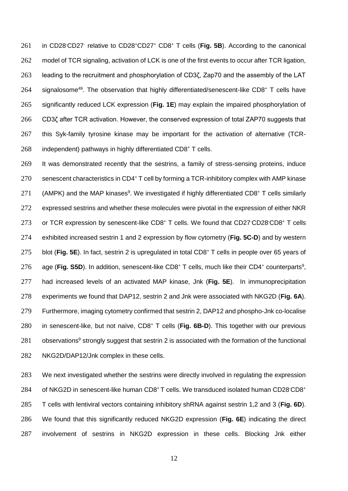261 in CD28<sup>-</sup>CD27<sup>-</sup> relative to CD28<sup>+</sup>CD27<sup>+</sup> CD8<sup>+</sup> T cells (Fig. 5B). According to the canonical 262 model of TCR signaling, activation of LCK is one of the first events to occur after TCR ligation, leading to the recruitment and phosphorylation of CD3ζ, Zap70 and the assembly of the LAT 264 signalosome<sup>49</sup>. The observation that highly differentiated/senescent-like CD8<sup>+</sup> T cells have significantly reduced LCK expression (**Fig. 1E**) may explain the impaired phosphorylation of CD3ζ after TCR activation. However, the conserved expression of total ZAP70 suggests that this Syk-family tyrosine kinase may be important for the activation of alternative (TCR-independent) pathways in highly differentiated CD8<sup>+</sup> T cells.

 It was demonstrated recently that the sestrins, a family of stress-sensing proteins, induce senescent characteristics in CD4+ T cell by forming a TCR-inhibitory complex with AMP kinase 271 (AMPK) and the MAP kinases<sup>9</sup>. We investigated if highly differentiated CD8<sup>+</sup> T cells similarly expressed sestrins and whether these molecules were pivotal in the expression of either NKR 273 or TCR expression by senescent-like CD8<sup>+</sup> T cells. We found that CD27<sup>-</sup>CD28<sup>-</sup>CD8<sup>+</sup> T cells exhibited increased sestrin 1 and 2 expression by flow cytometry (**Fig. 5C-D**) and by western 275 blot (**Fig. 5E**). In fact, sestrin 2 is upregulated in total CD8<sup>+</sup> T cells in people over 65 years of 276 age (**Fig. S5D**). In addition, senescent-like CD8<sup>+</sup> T cells, much like their CD4<sup>+</sup> counterparts<sup>9</sup>, had increased levels of an activated MAP kinase, Jnk (**Fig. 5E**). In immunoprecipitation experiments we found that DAP12, sestrin 2 and Jnk were associated with NKG2D (**Fig. 6A**). Furthermore, imaging cytometry confirmed that sestrin 2, DAP12 and phospho-Jnk co-localise 280 in senescent-like, but not naïve, CD8<sup>+</sup> T cells (Fig. 6B-D). This together with our previous 281 observations<sup>9</sup> strongly suggest that sestrin 2 is associated with the formation of the functional NKG2D/DAP12/Jnk complex in these cells.

 We next investigated whether the sestrins were directly involved in regulating the expression 284 of NKG2D in senescent-like human CD8<sup>+</sup>T cells. We transduced isolated human CD28<sup>-</sup>CD8<sup>+</sup> T cells with lentiviral vectors containing inhibitory shRNA against sestrin 1,2 and 3 (**Fig. 6D**). We found that this significantly reduced NKG2D expression (**Fig. 6E**) indicating the direct involvement of sestrins in NKG2D expression in these cells. Blocking Jnk either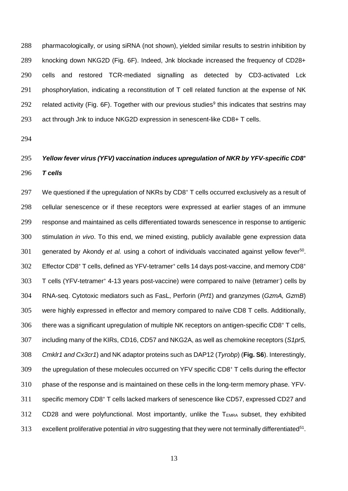pharmacologically, or using siRNA (not shown), yielded similar results to sestrin inhibition by knocking down NKG2D (Fig. 6F). Indeed, Jnk blockade increased the frequency of CD28+ cells and restored TCR-mediated signalling as detected by CD3-activated Lck phosphorylation, indicating a reconstitution of T cell related function at the expense of NK 292 related activity (Fig. 6F). Together with our previous studies<sup>9</sup> this indicates that sestrins may act through Jnk to induce NKG2D expression in senescent-like CD8+ T cells.

# *Yellow fever virus (YFV) vaccination induces upregulation of NKR by YFV-specific CD8<sup>+</sup> T cells*

297 We questioned if the upregulation of NKRs by CD8<sup>+</sup> T cells occurred exclusively as a result of cellular senescence or if these receptors were expressed at earlier stages of an immune response and maintained as cells differentiated towards senescence in response to antigenic stimulation *in vivo*. To this end, we mined existing, publicly available gene expression data 301 generated by Akondy *et al.* using a cohort of individuals vaccinated against yellow fever<sup>50</sup>. 302 Effector CD8+ T cells, defined as YFV-tetramer+ cells 14 days post-vaccine, and memory CD8+ 303 T cells (YFV-tetramer<sup>+</sup> 4-13 years post-vaccine) were compared to naïve (tetramer) cells by RNA-seq. Cytotoxic mediators such as FasL, Perforin (*Prf1*) and granzymes (*GzmA, GzmB*) were highly expressed in effector and memory compared to naïve CD8 T cells. Additionally, there was a significant upregulation of multiple NK receptors on antigen-specific CD8+ T cells, including many of the KIRs, CD16, CD57 and NKG2A, as well as chemokine receptors (*S1pr5, Cmklr1 and Cx3cr1*) and NK adaptor proteins such as DAP12 (*Tyrobp*) (**Fig. S6**). Interestingly, 309 the upregulation of these molecules occurred on YFV specific CD8<sup>+</sup> T cells during the effector 310 phase of the response and is maintained on these cells in the long-term memory phase. YFV-311 specific memory CD8<sup>+</sup> T cells lacked markers of senescence like CD57, expressed CD27 and CD28 and were polyfunctional. Most importantly, unlike the  $T_{EMRA}$  subset, they exhibited excellent proliferative potential *in vitro* suggesting that they were not terminally differentiated<sup>51</sup>.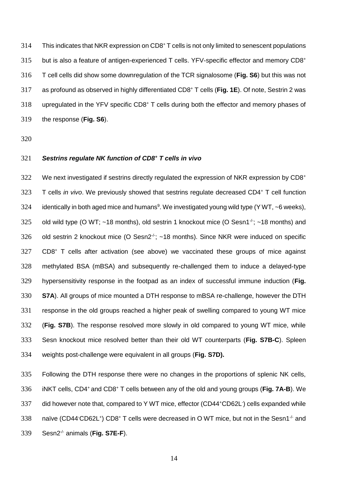314 This indicates that NKR expression on CD8<sup>+</sup> T cells is not only limited to senescent populations 315 but is also a feature of antigen-experienced T cells. YFV-specific effector and memory CD8<sup>+</sup> 316 T cell cells did show some downregulation of the TCR signalosome (**Fig. S6**) but this was not as profound as observed in highly differentiated CD8<sup>+</sup> 317 T cells (**Fig. 1E**). Of note, Sestrin 2 was 318 upregulated in the YFV specific CD8<sup>+</sup> T cells during both the effector and memory phases of 319 the response (**Fig. S6**).

320

# *Sestrins regulate NK function of CD8<sup>+</sup>* 321 *T cells in vivo*

322 We next investigated if sestrins directly regulated the expression of NKR expression by CD8+ 323 T cells *in vivo*. We previously showed that sestrins regulate decreased CD4<sup>+</sup> T cell function 324 identically in both aged mice and humans<sup>9</sup>. We investigated young wild type (Y WT,  $\sim$ 6 weeks), 325 old wild type (O WT;  $\sim$  18 months), old sestrin 1 knockout mice (O Sesn1<sup>-/-</sup>;  $\sim$  18 months) and 326 old sestrin 2 knockout mice (O Sesn2 $\div$ ; ~18 months). Since NKR were induced on specific 327 CD8<sup>+</sup> T cells after activation (see above) we vaccinated these groups of mice against 328 methylated BSA (mBSA) and subsequently re-challenged them to induce a delayed-type 329 hypersensitivity response in the footpad as an index of successful immune induction (**Fig.**  330 **S7A**). All groups of mice mounted a DTH response to mBSA re-challenge, however the DTH 331 response in the old groups reached a higher peak of swelling compared to young WT mice 332 (**Fig. S7B**). The response resolved more slowly in old compared to young WT mice, while 333 Sesn knockout mice resolved better than their old WT counterparts (**Fig. S7B-C**). Spleen 334 weights post-challenge were equivalent in all groups (**Fig. S7D).**

335 Following the DTH response there were no changes in the proportions of splenic NK cells, iNKT cells, CD4<sup>+</sup>and CD8<sup>+</sup> 336 T cells between any of the old and young groups (**Fig. 7A-B**). We 337 did however note that, compared to Y WT mice, effector (CD44+CD62L) cells expanded while 338 naïve (CD44 CD62L<sup>+</sup>) CD8<sup>+</sup> T cells were decreased in O WT mice, but not in the Sesn1<sup>-/-</sup> and 339 Sesn2<sup>-/-</sup> animals (Fig. S7E-F).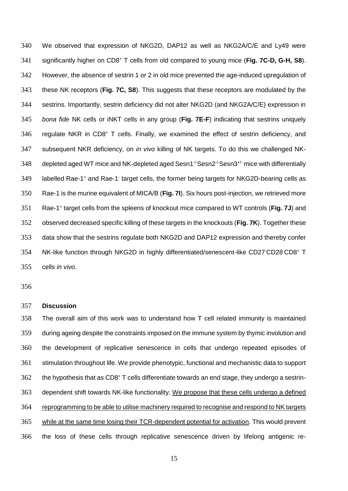We observed that expression of NKG2D, DAP12 as well as NKG2A/C/E and Ly49 were significantly higher on CD8<sup>+</sup> T cells from old compared to young mice (**Fig. 7C-D, G-H, S8**). However, the absence of sestrin 1 or 2 in old mice prevented the age-induced upregulation of these NK receptors (**Fig. 7C, S8**). This suggests that these receptors are modulated by the sestrins. Importantly, sestrin deficiency did not alter NKG2D (and NKG2A/C/E) expression in *bona fide* NK cells or iNKT cells in any group (**Fig. 7E-F**) indicating that sestrins uniquely 346 regulate NKR in CD8<sup>+</sup> T cells. Finally, we examined the effect of sestrin deficiency, and subsequent NKR deficiency, on *in vivo* killing of NK targets. To do this we challenged NK-348 depleted aged WT mice and NK-depleted aged Sesn1 $\cdot$ Sesn2 $\cdot$ Sesn3 $\cdot$  $\cdot$  mice with differentially 349 labelled Rae-1<sup>+</sup> and Rae-1<sup>-</sup> target cells, the former being targets for NKG2D-bearing cells as Rae-1 is the murine equivalent of MICA/B (**Fig. 7I**). Six hours post-injection, we retrieved more 351 Rae-1<sup>+</sup> target cells from the spleens of knockout mice compared to WT controls (Fig. 7J) and observed decreased specific killing of these targets in the knockouts (**Fig. 7K**). Together these data show that the sestrins regulate both NKG2D and DAP12 expression and thereby confer 354 NK-like function through NKG2D in highly differentiated/senescent-like CD27 CD28 CD8+ T cells *in vivo*.

#### **Discussion**

 The overall aim of this work was to understand how T cell related immunity is maintained during ageing despite the constraints imposed on the immune system by thymic involution and the development of replicative senescence in cells that undergo repeated episodes of stimulation throughout life. We provide phenotypic, functional and mechanistic data to support the hypothesis that as CD8<sup>+</sup> T cells differentiate towards an end stage, they undergo a sestrin- dependent shift towards NK-like functionality. We propose that these cells undergo a defined reprogramming to be able to utilise machinery required to recognise and respond to NK targets while at the same time losing their TCR-dependent potential for activation. This would prevent the loss of these cells through replicative senescence driven by lifelong antigenic re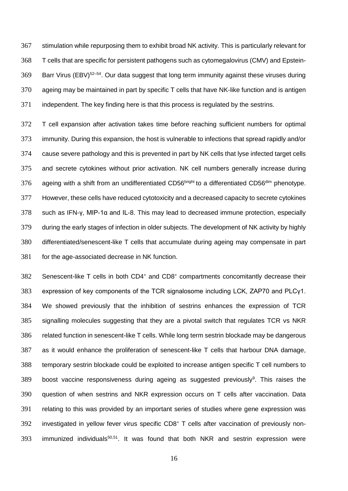stimulation while repurposing them to exhibit broad NK activity. This is particularly relevant for T cells that are specific for persistent pathogens such as cytomegalovirus (CMV) and Epstein- Barr Virus (EBV)<sup>52–54</sup>. Our data suggest that long term immunity against these viruses during ageing may be maintained in part by specific T cells that have NK-like function and is antigen independent. The key finding here is that this process is regulated by the sestrins.

 T cell expansion after activation takes time before reaching sufficient numbers for optimal immunity. During this expansion, the host is vulnerable to infections that spread rapidly and/or cause severe pathology and this is prevented in part by NK cells that lyse infected target cells and secrete cytokines without prior activation. NK cell numbers generally increase during 376 ageing with a shift from an undifferentiated CD56bright to a differentiated CD56<sup>dim</sup> phenotype. However, these cells have reduced cytotoxicity and a decreased capacity to secrete cytokines such as IFN-γ, MIP-1α and IL-8. This may lead to decreased immune protection, especially during the early stages of infection in older subjects. The development of NK activity by highly differentiated/senescent-like T cells that accumulate during ageing may compensate in part for the age-associated decrease in NK function.

Senescent-like T cells in both CD4<sup>+</sup> and CD8<sup>+</sup> compartments concomitantly decrease their expression of key components of the TCR signalosome including LCK, ZAP70 and PLCγ1. We showed previously that the inhibition of sestrins enhances the expression of TCR signalling molecules suggesting that they are a pivotal switch that regulates TCR vs NKR related function in senescent-like T cells. While long term sestrin blockade may be dangerous as it would enhance the proliferation of senescent-like T cells that harbour DNA damage, temporary sestrin blockade could be exploited to increase antigen specific T cell numbers to boost vaccine responsiveness during ageing as suggested previously<sup>9</sup>. This raises the question of when sestrins and NKR expression occurs on T cells after vaccination. Data relating to this was provided by an important series of studies where gene expression was 392 investigated in yellow fever virus specific CD8<sup>+</sup> T cells after vaccination of previously non-393 immunized individuals $50,51$ . It was found that both NKR and sestrin expression were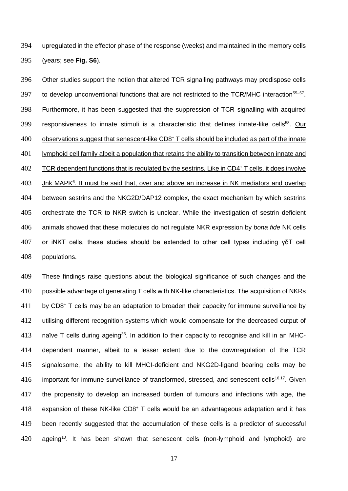upregulated in the effector phase of the response (weeks) and maintained in the memory cells (years; see **Fig. S6**).

 Other studies support the notion that altered TCR signalling pathways may predispose cells 397 to develop unconventional functions that are not restricted to the TCR/MHC interaction<sup>55-57</sup>. Furthermore, it has been suggested that the suppression of TCR signalling with acquired 399 responsiveness to innate stimuli is a characteristic that defines innate-like cells<sup>58</sup>. Our observations suggest that senescent-like CD8<sup>+</sup> T cells should be included as part of the innate 401 lymphoid cell family albeit a population that retains the ability to transition between innate and 402 TCR dependent functions that is regulated by the sestrins. Like in CD4<sup>+</sup> T cells, it does involve Jnk MAPK $6$ . It must be said that, over and above an increase in NK mediators and overlap between sestrins and the NKG2D/DAP12 complex, the exact mechanism by which sestrins orchestrate the TCR to NKR switch is unclear. While the investigation of sestrin deficient animals showed that these molecules do not regulate NKR expression by *bona fide* NK cells or iNKT cells, these studies should be extended to other cell types including γδT cell populations.

 These findings raise questions about the biological significance of such changes and the possible advantage of generating T cells with NK-like characteristics. The acquisition of NKRs by CD8<sup>+</sup> T cells may be an adaptation to broaden their capacity for immune surveillance by 412 utilising different recognition systems which would compensate for the decreased output of 413 naïve T cells during ageing<sup>35</sup>. In addition to their capacity to recognise and kill in an MHC- dependent manner, albeit to a lesser extent due to the downregulation of the TCR signalosome, the ability to kill MHCI-deficient and NKG2D-ligand bearing cells may be important for immune surveillance of transformed, stressed, and senescent cells<sup>16,17</sup>. Given the propensity to develop an increased burden of tumours and infections with age, the 418 expansion of these NK-like CD8<sup>+</sup> T cells would be an advantageous adaptation and it has been recently suggested that the accumulation of these cells is a predictor of successful ageing<sup>10</sup>. It has been shown that senescent cells (non-lymphoid and lymphoid) are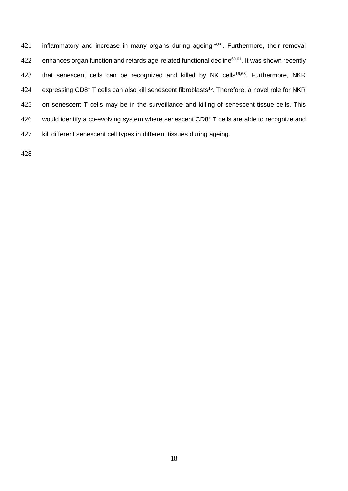421 inflammatory and increase in many organs during ageing<sup>59,60</sup>. Furthermore, their removal 422 enhances organ function and retards age-related functional decline<sup>60,61</sup>. It was shown recently 423 that senescent cells can be recognized and killed by NK cells<sup>16,63</sup>. Furthermore, NKR 424 expressing CD8<sup>+</sup> T cells can also kill senescent fibroblasts<sup>15</sup>. Therefore, a novel role for NKR 425 on senescent T cells may be in the surveillance and killing of senescent tissue cells. This  $426$  would identify a co-evolving system where senescent CD8<sup>+</sup> T cells are able to recognize and 427 kill different senescent cell types in different tissues during ageing.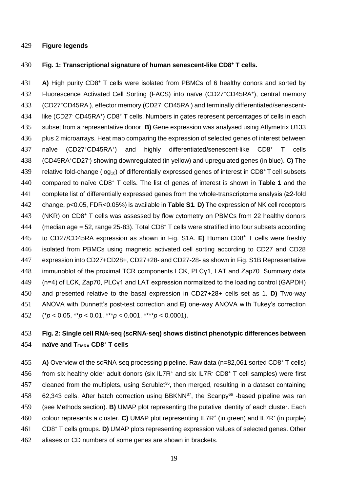#### 429 **Figure legends**

#### **430 Fig. 1: Transcriptional signature of human senescent-like CD8<sup>+</sup> T cells.**

431 **A)** High purity CD8<sup>+</sup> T cells were isolated from PBMCs of 6 healthy donors and sorted by 432 Fluorescence Activated Cell Sorting (FACS) into naïve (CD27+CD45RA+), central memory 433 (CD27+CD45RA), effector memory (CD27· CD45RA) and terminally differentiated/senescent-434 like (CD27 CD45RA<sup>+</sup>) CD8<sup>+</sup> T cells. Numbers in gates represent percentages of cells in each 435 subset from a representative donor. **B)** Gene expression was analysed using Affymetrix U133 436 plus 2 microarrays. Heat map comparing the expression of selected genes of interest between naïve (CD27+CD45RA+) 437 naïve (CD27<sup>+</sup>CD45RA<sup>+</sup>) and highly differentiated/senescent-like CD8<sup>+</sup> T cells (CD45RA<sup>+</sup>CD27- 438 ) showing downregulated (in yellow) and upregulated genes (in blue). **C)** The 439 relative fold-change ( $log_{10}$ ) of differentially expressed genes of interest in CD8<sup>+</sup> T cell subsets 440 compared to naïve CD8<sup>+</sup> T cells. The list of genes of interest is shown in Table 1 and the 441 complete list of differentially expressed genes from the whole-transcriptome analysis (≥2-fold 442 change, p<0.05, FDR<0.05%) is available in **Table S1**. **D)** The expression of NK cell receptors 443 (NKR) on CD8<sup>+</sup> T cells was assessed by flow cytometry on PBMCs from 22 healthy donors  $444$  (median age = 52, range 25-83). Total CD8<sup>+</sup> T cells were stratified into four subsets according 145 to CD27/CD45RA expression as shown in Fig. S1A. **E)** Human CD8<sup>+</sup> T cells were freshly 446 isolated from PBMCs using magnetic activated cell sorting according to CD27 and CD28 447 expression into CD27+CD28+, CD27+28- and CD27-28- as shown in Fig. S1B Representative 448 immunoblot of the proximal TCR components LCK, PLCγ1, LAT and Zap70. Summary data 449 (n=4) of LCK, Zap70, PLCγ1 and LAT expression normalized to the loading control (GAPDH) 450 and presented relative to the basal expression in CD27+28+ cells set as 1. **D)** Two-way 451 ANOVA with Dunnett's post-test correction and **E)** one-way ANOVA with Tukey's correction 452 (\**p* < 0.05, \*\**p* < 0.01, \*\*\**p* < 0.001, \*\*\*\**p* < 0.0001).

# 453 **Fig. 2: Single cell RNA-seq (scRNA-seq) shows distinct phenotypic differences between naïve and TEMRA CD8<sup>+</sup>** 454 **T cells**

455 **A)** Overview of the scRNA-seq processing pipeline. Raw data (n=82,061 sorted CD8<sup>+</sup> T cells) 456 from six healthy older adult donors (six IL7R<sup>+</sup> and six IL7R<sup>-</sup> CD8<sup>+</sup> T cell samples) were first 457 cleaned from the multiplets, using Scrublet<sup>36</sup>, then merged, resulting in a dataset containing 458 62,343 cells. After batch correction using BBKNN $^{37}$ , the Scanpy<sup>66</sup> -based pipeline was ran 459 (see Methods section). **B)** UMAP plot representing the putative identity of each cluster. Each 460 colour represents a cluster. C) UMAP plot representing IL7R<sup>+</sup> (in green) and IL7R<sup>-</sup> (in purple) CD8<sup>+</sup> 461 T cells groups. **D)** UMAP plots representing expression values of selected genes. Other 462 aliases or CD numbers of some genes are shown in brackets.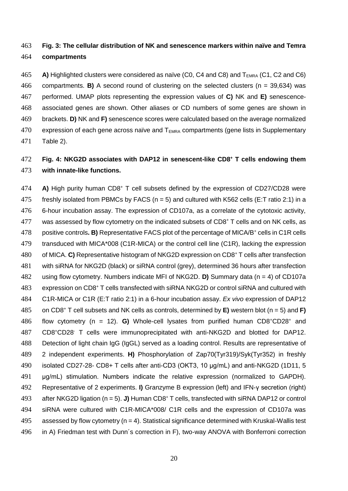# **Fig. 3: The cellular distribution of NK and senescence markers within naïve and Temra compartments**

**A)** Highlighted clusters were considered as naïve (C0, C4 and C8) and T<sub>EMRA</sub> (C1, C2 and C6) compartments. **B)** A second round of clustering on the selected clusters (n = 39,634) was performed. UMAP plots representing the expression values of **C)** NK and **E)** senescence- associated genes are shown. Other aliases or CD numbers of some genes are shown in brackets. **D)** NK and **F)** senescence scores were calculated based on the average normalized expression of each gene across naïve and  $T_{EMRA}$  compartments (gene lists in Supplementary Table 2).

# **Fig. 4: NKG2D associates with DAP12 in senescent-like CD8<sup>+</sup> T cells endowing them with innate-like functions.**

474 **A)** High purity human CD8<sup>+</sup> T cell subsets defined by the expression of CD27/CD28 were 475 freshly isolated from PBMCs by FACS ( $n = 5$ ) and cultured with K562 cells (E:T ratio 2:1) in a 6-hour incubation assay. The expression of CD107a, as a correlate of the cytotoxic activity, was assessed by flow cytometry on the indicated subsets of CD8+ T cells and on NK cells, as 478 positive controls. **B)** Representative FACS plot of the percentage of MICA/B<sup>+</sup> cells in C1R cells transduced with MICA\*008 (C1R-MICA) or the control cell line (C1R), lacking the expression 480 of MICA. **C)** Representative histogram of NKG2D expression on CD8<sup>+</sup> T cells after transfection with siRNA for NKG2D (black) or siRNA control (grey), determined 36 hours after transfection using flow cytometry. Numbers indicate MFI of NKG2D. **D)** Summary data (n = 4) of CD107a 483 expression on CD8<sup>+</sup> T cells transfected with siRNA NKG2D or control siRNA and cultured with C1R-MICA or C1R (E:T ratio 2:1) in a 6-hour incubation assay. *Ex vivo* expression of DAP12 on CD8<sup>+</sup> T cell subsets and NK cells as controls, determined by **E)** western blot (n = 5) and **F)**  486 flow cytometry  $(n = 12)$ . **G)** Whole-cell lysates from purified human CD8+CD28+ and CD8<sup>+</sup>CD28- T cells were immunoprecipitated with anti-NKG2D and blotted for DAP12. Detection of light chain IgG (IgGL) served as a loading control. Results are representative of 2 independent experiments. **H)** Phosphorylation of Zap70(Tyr319)/Syk(Tyr352) in freshly isolated CD27-28- CD8+ T cells after anti-CD3 (OKT3, 10 μg/mL) and anti-NKG2D (1D11, 5 491 µg/mL) stimulation. Numbers indicate the relative expression (normalized to GAPDH). Representative of 2 experiments. **I)** Granzyme B expression (left) and IFN-γ secretion (right) 493 after NKG2D ligation (n = 5). **J)** Human CD8<sup>+</sup> T cells, transfected with siRNA DAP12 or control siRNA were cultured with C1R-MICA\*008/ C1R cells and the expression of CD107a was 495 assessed by flow cytometry  $(n = 4)$ . Statistical significance determined with Kruskal-Wallis test in A) Friedman test with Dunn´s correction in F), two-way ANOVA with Bonferroni correction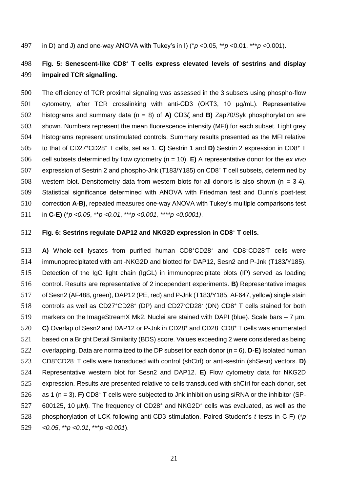in D) and J) and one-way ANOVA with Tukey's in I) (\**p* <0.05, \*\**p* <0.01, \*\*\**p* <0.001).

# **Fig. 5: Senescent-like CD8<sup>+</sup> T cells express elevated levels of sestrins and display impaired TCR signalling.**

 The efficiency of TCR proximal signaling was assessed in the 3 subsets using phospho-flow cytometry, after TCR crosslinking with anti-CD3 (OKT3, 10 μg/mL). Representative histograms and summary data (n = 8) of **A)** CD3ζ and **B)** Zap70/Syk phosphorylation are shown. Numbers represent the mean fluorescence intensity (MFI) for each subset. Light grey histograms represent unstimulated controls. Summary results presented as the MFI relative to that of CD27<sup>+</sup>CD28<sup>+</sup> T cells, set as 1. C) Sestrin 1 and D) Sestrin 2 expression in CD8<sup>+</sup> T cell subsets determined by flow cytometry (n = 10). **E)** A representative donor for the *ex vivo* 507 expression of Sestrin 2 and phospho-Jnk (T183/Y185) on CD8<sup>+</sup> T cell subsets, determined by western blot. Densitometry data from western blots for all donors is also shown (n *=* 3-4). Statistical significance determined with ANOVA with Friedman test and Dunn's post-test correction **A-B)**, repeated measures one-way ANOVA with Tukey's multiple comparisons test in **C-E)** (\**p <0.05*, \*\**p <0.01*, \*\*\**p <0.001, \*\*\*\*p <0.0001)*.

#### **Fig. 6: Sestrins regulate DAP12 and NKG2D expression in CD8<sup>+</sup> T cells.**

**A)** Whole-cell lysates from purified human CD8+CD28<sup>+</sup> and CD8+CD28<sup>-</sup>T cells were immunoprecipitated with anti-NKG2D and blotted for DAP12, Sesn2 and P-Jnk (T183/Y185). Detection of the IgG light chain (IgGL) in immunoprecipitate blots (IP) served as loading control. Results are representative of 2 independent experiments. **B)** Representative images of Sesn2 (AF488, green), DAP12 (PE, red) and P-Jnk (T183/Y185, AF647, yellow) single stain 518 controls as well as CD27<sup>+</sup>CD28<sup>+</sup> (DP) and CD27<sup>-</sup>CD28<sup>-</sup> (DN) CD8<sup>+</sup> T cells stained for both markers on the ImageStreamX Mk2. Nuclei are stained with DAPI (blue). Scale bars – 7 µm. 520 C) Overlap of Sesn2 and DAP12 or P-Jnk in CD28<sup>+</sup> and CD28<sup>-</sup> CD8<sup>+</sup> T cells was enumerated based on a Bright Detail Similarity (BDS) score. Values exceeding 2 were considered as being overlapping. Data are normalized to the DP subset for each donor (n = 6). **D-E)** Isolated human CD8<sup>+</sup>CD28- T cells were transduced with control (shCtrl) or anti-sestrin (shSesn) vectors. **D)** Representative western blot for Sesn2 and DAP12. **E)** Flow cytometry data for NKG2D expression. Results are presented relative to cells transduced with shCtrl for each donor, set  $\alpha$  as 1 (n = 3). **F)** CD8<sup>+</sup> T cells were subjected to Jnk inhibition using siRNA or the inhibitor (SP-600125, 10 µM). The frequency of CD28<sup>+</sup> and NKG2D<sup>+</sup> cells was evaluated, as well as the phosphorylation of LCK following anti-CD3 stimulation. Paired Student's *t* tests in C-F) (\**p <0.05*, \*\**p <0.01*, \*\*\**p <0.001*).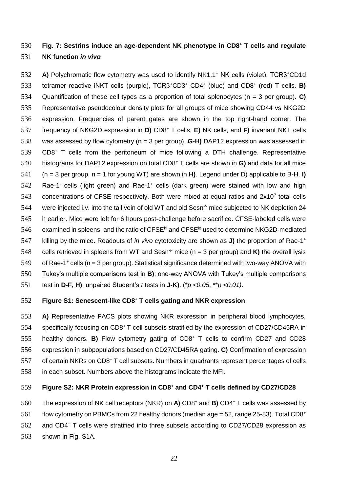# **Fig. 7: Sestrins induce an age-dependent NK phenotype in CD8<sup>+</sup>** 530 **T cells and regulate**  531 **NK function** *in vivo*

**A)** Polychromatic flow cytometry was used to identify NK1.1<sup>+</sup> NK cells (violet), TCRβ<sup>+</sup>CD1d 533 tetramer reactive iNKT cells (purple), TCRβ<sup>+</sup>CD3<sup>+</sup> CD4<sup>+</sup> (blue) and CD8<sup>+</sup> (red) T cells. **B)** 534 Quantification of these cell types as a proportion of total splenocytes (n = 3 per group). **C)** 535 Representative pseudocolour density plots for all groups of mice showing CD44 vs NKG2D 536 expression. Frequencies of parent gates are shown in the top right-hand corner. The frequency of NKG2D expression in **D)** CD8<sup>+</sup> 537 T cells, **E)** NK cells, and **F)** invariant NKT cells 538 was assessed by flow cytometry (n = 3 per group). **G-H)** DAP12 expression was assessed in  $539$  CD8<sup>+</sup> T cells from the peritoneum of mice following a DTH challenge. Representative histograms for DAP12 expression on total CD8<sup>+</sup> 540 T cells are shown in **G)** and data for all mice 541 (n = 3 per group, n = 1 for young WT) are shown in **H)**. Legend under D) applicable to B-H. **I)** 542 Rae-1 cells (light green) and Rae-1<sup>+</sup> cells (dark green) were stained with low and high 543 concentrations of CFSE respectively. Both were mixed at equal ratios and  $2x10<sup>7</sup>$  total cells 544 were injected i.v. into the tail vein of old WT and old Sesn<sup>-/-</sup> mice subjected to NK depletion 24 545 h earlier. Mice were left for 6 hours post-challenge before sacrifice. CFSE-labeled cells were 546 examined in spleens, and the ratio of CFSE<sup>hi</sup> and CFSE<sup>lo</sup> used to determine NKG2D-mediated 547 killing by the mice. Readouts of *in vivo* cytotoxicity are shown as **J)** the proportion of Rae-1<sup>+</sup> 548 cells retrieved in spleens from WT and Sesn<sup>-/-</sup> mice (n = 3 per group) and **K)** the overall lysis 549 of Rae-1<sup>+</sup> cells (n = 3 per group). Statistical significance determined with two-way ANOVA with 550 Tukey's multiple comparisons test in **B)**; one-way ANOVA with Tukey's multiple comparisons

551 test in **D-F, H)**; unpaired Student's *t* tests in **J-K)**. (\**p <0.05*, \*\**p <0.01)*.

## **Figure S1: Senescent-like CD8<sup>+</sup>** 552 **T cells gating and NKR expression**

553 **A)** Representative FACS plots showing NKR expression in peripheral blood lymphocytes, 554 specifically focusing on CD8<sup>+</sup>T cell subsets stratified by the expression of CD27/CD45RA in 555 healthy donors. **B)** Flow cytometry gating of CD8<sup>+</sup> T cells to confirm CD27 and CD28 556 expression in subpopulations based on CD27/CD45RA gating. **C)** Confirmation of expression 557 of certain NKRs on CD8<sup>+</sup> T cell subsets. Numbers in quadrants represent percentages of cells 558 in each subset. Numbers above the histograms indicate the MFI.

# **Figure S2: NKR Protein expression in CD8<sup>+</sup> and CD4<sup>+</sup>** 559 **T cells defined by CD27/CD28**

The expression of NK cell receptors (NKR) on A) CD8<sup>+</sup> and B) CD4<sup>+</sup> T cells was assessed by

 $561$  flow cytometry on PBMCs from 22 healthy donors (median age = 52, range 25-83). Total CD8<sup>+</sup>

562 and CD4<sup>+</sup> T cells were stratified into three subsets according to CD27/CD28 expression as

563 shown in Fig. S1A.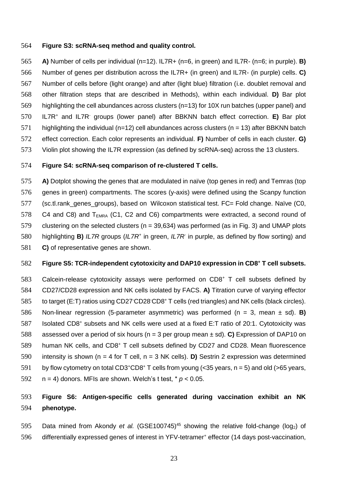#### 564 **Figure S3: scRNA-seq method and quality control.**

 **A)** Number of cells per individual (n=12). IL7R+ (n=6, in green) and IL7R- (n=6; in purple). **B)**  Number of genes per distribution across the IL7R+ (in green) and IL7R- (in purple) cells. **C)**  Number of cells before (light orange) and after (light blue) filtration (i.e. doublet removal and other filtration steps that are described in Methods), within each individual. **D)** Bar plot highlighting the cell abundances across clusters (n=13) for 10X run batches (upper panel) and 570 IL7R<sup>+</sup> and IL7R<sup>-</sup> groups (lower panel) after BBKNN batch effect correction. **E)** Bar plot 571 highlighting the individual (n=12) cell abundances across clusters (n = 13) after BBKNN batch effect correction. Each color represents an individual. **F)** Number of cells in each cluster. **G)** 573 Violin plot showing the IL7R expression (as defined by scRNA-seq) across the 13 clusters.

### 574 **Figure S4: scRNA-seq comparison of re-clustered T cells.**

575 **A)** Dotplot showing the genes that are modulated in naïve (top genes in red) and Temras (top 576 genes in green) compartments. The scores (y-axis) were defined using the Scanpy function 577 (sc.tl.rank genes groups), based on Wilcoxon statistical test. FC= Fold change. Naïve (C0, 578 C4 and C8) and  $T_{FMRA}$  (C1, C2 and C6) compartments were extracted, a second round of 579 clustering on the selected clusters (n = 39,634) was performed (as in Fig. 3) and UMAP plots 580 highlighting **B)** *IL7R* groups (*IL7R<sup>+</sup>* in green, *IL7R* in purple, as defined by flow sorting) and 581 **C)** of representative genes are shown.

#### **Figure S5: TCR-independent cytotoxicity and DAP10 expression in CD8<sup>+</sup> T cell subsets.**

583 Calcein-release cytotoxicity assays were performed on  $CDB<sup>+</sup> T$  cell subsets defined by 584 CD27/CD28 expression and NK cells isolated by FACS. **A)** Titration curve of varying effector 585 to target (E:T) ratios using CD27 CD28 CD8<sup>+</sup> T cells (red triangles) and NK cells (black circles). 586 Non-linear regression (5-parameter asymmetric) was performed (n = 3, mean ± sd). **B)**  587 Isolated CD8<sup>+</sup> subsets and NK cells were used at a fixed E:T ratio of 20:1. Cytotoxicity was 588 assessed over a period of six hours (n = 3 per group mean ± sd). **C)** Expression of DAP10 on 589 human NK cells, and CD8<sup>+</sup> T cell subsets defined by CD27 and CD28. Mean fluorescence 590 intensity is shown (n = 4 for T cell, n = 3 NK cells). **D)** Sestrin 2 expression was determined 591 by flow cytometry on total CD3<sup>+</sup>CD8<sup>+</sup> T cells from young (<35 years,  $n = 5$ ) and old (>65 years, 592  $n = 4$ ) donors. MFIs are shown. Welch's t test,  $* p < 0.05$ .

# 593 **Figure S6: Antigen-specific cells generated during vaccination exhibit an NK**  594 **phenotype.**

595 Data mined from Akondy et al. (GSE100745)<sup>45</sup> showing the relative fold-change (log<sub>2</sub>) of 596 differentially expressed genes of interest in YFV-tetramer<sup>+</sup> effector (14 days post-vaccination,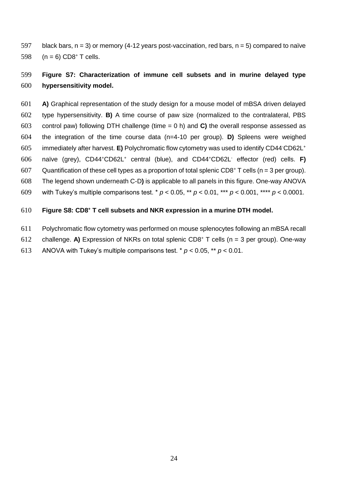597 black bars,  $n = 3$ ) or memory (4-12 years post-vaccination, red bars,  $n = 5$ ) compared to naïve 598  $(n = 6)$  CD8<sup>+</sup> T cells.

# **Figure S7: Characterization of immune cell subsets and in murine delayed type hypersensitivity model.**

 **A)** Graphical representation of the study design for a mouse model of mBSA driven delayed type hypersensitivity. **B)** A time course of paw size (normalized to the contralateral, PBS control paw) following DTH challenge (time = 0 h) and **C)** the overall response assessed as the integration of the time course data (n=4-10 per group). **D)** Spleens were weighed immediately after harvest. **E)** Polychromatic flow cytometry was used to identify CD44-CD62L<sup>+</sup> 606 naïve (grey), CD44<sup>+</sup>CD62L<sup>+</sup> central (blue), and CD44<sup>+</sup>CD62L<sup>-</sup> effector (red) cells. **F)** 607 Quantification of these cell types as a proportion of total splenic CD8<sup>+</sup> T cells (n = 3 per group). The legend shown underneath C-D**)** is applicable to all panels in this figure. One-way ANOVA with Tukey's multiple comparisons test. \* *p* < 0.05, \*\* *p* < 0.01, \*\*\* *p* < 0.001, \*\*\*\* *p* < 0.0001.

### **Figure S8: CD8<sup>+</sup> T cell subsets and NKR expression in a murine DTH model.**

- Polychromatic flow cytometry was performed on mouse splenocytes following an mBSA recall
- 612 challenge. **A)** Expression of NKRs on total splenic CD8<sup>+</sup> T cells (n = 3 per group). One-way
- 613 ANOVA with Tukey's multiple comparisons test.  $* p < 0.05$ ,  $** p < 0.01$ .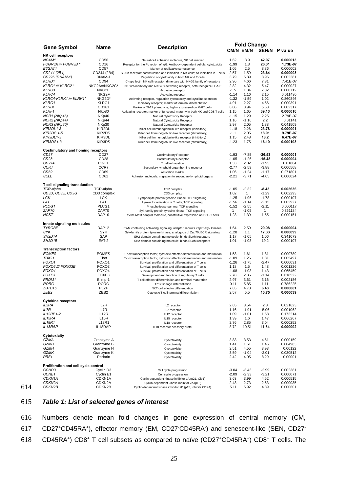|                                           |                       |                                                                                   | <b>Fold Change</b> |           |          |                      |
|-------------------------------------------|-----------------------|-----------------------------------------------------------------------------------|--------------------|-----------|----------|----------------------|
| <b>Gene Symbol</b>                        | Name                  | <b>Description</b>                                                                |                    | CM/N EM/N |          | <b>SEN/N P value</b> |
| <b>NK cell receptors</b>                  |                       |                                                                                   |                    |           |          |                      |
| NCAM1                                     | CD <sub>56</sub>      | Neural cell adhesion molecule, NK cell marker                                     | 1.62               | 3.9       | 42.07    | 0.000013             |
| FCGR3A /// FCGR3B *                       | CD <sub>16</sub>      | Receptor for the Fc region of IgG; Antibody-dependent cellular cytotoxicity       | $-1.99$            | 1.3       | 26.31    | 1.73E-07             |
| B3GAT1                                    | CD <sub>57</sub>      | Marker of replicative senescence                                                  | 1.05               | 2.5       | 8.86     | 0.000002             |
| CD244 (2B4)                               | CD244 (2B4)           | SLAM receptor; costimulation and inhibition in NK cells; co-inhibition in T cells | 2.57               | 1.59      | 23.64    | 0.000003             |
| CD226 (DNAM-1)                            | DNAM-1                | Regulation of cytotoxicity in both NK and T cells                                 | 3.79               | 5.89      | 3.96     | 0.002281             |
| KLRD1                                     | CD <sub>94</sub>      | C-type lectin NK cell receptor, dimerizes with NKG2 family of receptors           | 2.96               | 4.66      | 7.31     | 7.41E-07             |
| KLRC1 /// KLRC2 *                         | NKG2A///NKG2C*        | NKG2A inhibitory and NKG2C activating receptor, both recognize HLA-E              | 2.82               | 4.32      | 5.47     | 0.000027             |
| KLRC3                                     | NKG2E                 | Activating receptor                                                               | $-1.5$             | 1.34      | 7.82     | 0.000712             |
| KLRC4                                     | NKG2F                 |                                                                                   | $-1.14$            | 1.16      | 2.15     | 0.011495             |
|                                           |                       | Activating receptor                                                               |                    |           |          |                      |
| KLRC4-KLRK1 /// KLRK1*                    | NKG2D*                | Activating receptor, regulation cytotoxocity and cytokine secretion               | $-1.32$            | $-1.59$   | 1.02     | 0.860846             |
| KLRG1                                     | KLRG1                 | Inhibitory receptor; marker of terminal differentiation                           | 4.91               | 2.27      | 4.56     | 0.000391             |
| <b>KLRB1</b>                              | CD161                 | Marker of Th17 phenotype; highly expressed on MAIT cells                          | 6.06               | 3.94      | 5.63     | 0.002317             |
| <b>KLRF1</b>                              | Nkp80                 | Activating receptor; marker of functional maturity in both NK and CD8 T cells     | 1.15               | 1.65      | 39.13    | 0.000016             |
| NCR1 (NKp46)                              | NKp46                 | Natural Cytotoxicity Receptor                                                     | $-1.15$            | 1.29      | 2.25     | 2.79E-07             |
| NCR2 (NKp44)                              | NKp44                 | Natural Cytotoxicity Receptor                                                     | 1.16               | $-1.16$   | 2.2      | 0.01141              |
| NCR3 (NKp30)                              | NKp30                 | Natural Cytotoxicity Receptor                                                     | 2.97               | 2.05      | 1.88     | 0.041509             |
| KIR2DL1-3                                 | KIR2DL                | Killer cell Immunoglobulin-like receptor (inhibitory)                             | $-1.18$            | 2.26      | 23.78    | 0.000001             |
| <b>KIR2DS 1-5</b>                         | KIR2DS                | Killer cell Immunoglobulin-like receptor (stimulatory)                            | $-1.1$             | 2.05      | 18.01    | 9.79E-07             |
| KIR3DL1-3                                 | KIR3DL                | Killer cell Immunoglobulin-like receptor (inhibitory)                             | 1.15               | 2.48      | 18.2     | 6.47E-07             |
| KIR3DS1-3                                 | KIR3DS                |                                                                                   | $-1.23$            | 1.75      | 16.19    | 0.000198             |
|                                           |                       | Killer cell Immunoglobulin-like receptor (stimulatory)                            |                    |           |          |                      |
| <b>Costimulatory and homing receptors</b> |                       |                                                                                   |                    |           |          |                      |
| CD <sub>27</sub>                          | CD <sub>27</sub>      | <b>Costimulatory Receptor</b>                                                     | $-1.93$            | $-7.85$   | $-26.53$ | 0.000001             |
| CD <sub>28</sub>                          | CD <sub>28</sub>      | <b>Costimulatory Receptor</b>                                                     | $-1.05$            | $-1.26$   | $-15.48$ | 0.000004             |
| CD274                                     | PD-L1                 | T cell exhaustion                                                                 | 1.33               | 2.02      | $-1.95$  | 0.01804              |
| CCR7                                      | CCR7                  |                                                                                   | $-2.77$            | $-2.59$   | $-3.88$  | 0.000568             |
|                                           |                       | Secondary lymphoid organ homing receptor                                          |                    |           |          |                      |
| CD69                                      | CD69                  | Activation marker                                                                 | 1.06               | $-1.24$   | $-1.17$  | 0.271801             |
| SELL                                      | CD <sub>62</sub>      | Adhesion molecule, migration to secondary lymphoid organs                         | $-2.21$            | $-3.71$   | $-4.65$  | 0.000024             |
| T cell signaling transduction             |                       |                                                                                   |                    |           |          |                      |
| TCR-alpha                                 | TCR-alpha             |                                                                                   | $-1.05$            | $-2.32$   | $-8.43$  | 0.005636             |
|                                           |                       | <b>TCR</b> complex                                                                |                    |           |          |                      |
| CD3D, CD3E, CD3G                          | CD3 complex           | CD3 complex                                                                       | 1.02               | 1         | $-1.29$  | 0.002293             |
| LCK                                       | <b>LCK</b>            | Lymphocyte protein tyrosine kinase, TCR signaling                                 | $-1.25$            | $-1.96$   | $-1.78$  | 0.000107             |
| LAT                                       | LAT                   | Lynker for activation of T cells, TCR signaling                                   | $-1.56$            | $-1.14$   | $-2.15$  | 0.002927             |
| PLCG1                                     | PLCG1                 | Phospholipase gamma, TCR signaling                                                | $-1.52$            | $-2.55$   | $-2.11$  | 0.000117             |
| ZAP70                                     | ZAP70                 | Syk-family protein tyrosine kinase, TCR signaling                                 | 1                  | $-1.05$   | 1        | 0.861184             |
| HCST                                      | DAP <sub>10</sub>     | YxxM-Motif adaptor molecule, constitutive expression on CD8 T cells               | 1.28               | 1.39      | 1.55     | 0.000151             |
|                                           |                       |                                                                                   |                    |           |          |                      |
| Innate signaling molecules                |                       |                                                                                   |                    |           |          |                      |
| <b>TYROBP</b>                             | DAP <sub>12</sub>     | ITAM containing activating signaling adaptor, recruits Zap70/Syk kinases          | 1.64               | 2.59      | 20.98    | 0.000004             |
| SYK                                       | SYK                   | Syk-family protein tyrosine kinase, analogous of Zap70, BCR signaling             | $-1.28$            | 1.1       | 17.33    | 0.000099             |
| SH2D1A                                    | SAP                   | SH2-domain containing molecule, binds SLAM receptors                              | 1.17               | $-1.05$   | 1.06     | 0.341073             |
| SH2D1B                                    | EAT-2                 | SH2-domain containing molecule, binds SLAM receptors                              | 1.01               | $-1.08$   | 19.2     | 0.000107             |
|                                           |                       |                                                                                   |                    |           |          |                      |
| <b>Transcription factors</b>              |                       |                                                                                   |                    |           |          |                      |
| <b>EOMES</b>                              | <b>EOMES</b>          | T-box transcription factor, cytotoxic effector differentiation and maturation     | 1.58               | 1.61      | 1.81     | 0.000789             |
| TBX21                                     | Tbet                  | T-box transcription factor, cytotoxic effector differentiation and maturation     | $-1.09$            | 1.26      | 1.31     | 0.005497             |
| FOXO1                                     | FOXO1                 | Survival, proliferation and differentiation of T cells                            | $-1.26$            | $-1.75$   | $-2.47$  | 0.000031             |
| FOXO3 /// FOXO3B                          | FOXO <sub>3</sub>     | Survival, proliferation and differentiation of T cells                            | 1.18               | 1.5       | 1.48     | 0.001226             |
| FOXO4                                     | FOXO4                 | Survival, proliferation and differentiation of T cells                            | $-1.08$            | $-1.03$   | 1.43     | 0.065459             |
| FOXP3                                     | FOXP3                 | Development and function of regulatory T cells                                    | 2.78               | 2.36      | $-1.14$  | 0.618522             |
| PRDM1                                     | Blimp-1               | T cell effector differentiation and terminal maturation                           | 2.97               | 3.61      | 3.16     | 0.002186             |
| RORC                                      | <b>RORC</b>           | Th17 lineage differentiation                                                      | 9.11               | 5.85      | 1.11     | 0.786225             |
| ZBTB16                                    | PLZF                  | NKT cell effector differentiation                                                 | 7.65               | 4.78      | 6.48     | 0.000081             |
| ZEB2                                      | ZEB <sub>2</sub>      | Cytotoxic T cell terminal differentiation                                         | 2.57               | 5.5       | 10.75    | 0.000039             |
|                                           |                       |                                                                                   |                    |           |          |                      |
| <b>Cytokine receptors</b>                 |                       |                                                                                   |                    |           |          |                      |
| IL2RA                                     | IL2R                  | IL2 receptor                                                                      | 2.65               | 3.54      | 2.8      | 0.021623             |
| IL7R                                      | IL7R                  | IL7 receptor                                                                      | 1.16               | $-1.91$   | -5.06    | 0.001062             |
| IL12RB1-2                                 | IL12R                 | IL12 receptor                                                                     | 1.09               | $-1.01$   | 1.58     | 0.173214             |
| IL15RA                                    | IL <sub>15</sub> R    |                                                                                   | 1.39               | 1.6       | 1.47     |                      |
|                                           |                       | IL15 receptor                                                                     |                    |           |          | 0.066267             |
| IL18R1                                    | IL18R1                | IL18 receptor                                                                     | 2.76               | 2.85      | 3.04     | 0.000252             |
| IL18RAP                                   | IL18RAP               | IL18 receptor acessory protei                                                     | 8.72               | 10.51     | 11.54    | 0.000092             |
| Cytotoxicity                              |                       |                                                                                   |                    |           |          |                      |
| GZMA                                      | Granzyme A            | Cyototoxicity                                                                     | 3.83               | 3.53      | 4.61     | 0.000159             |
| GZMB                                      | Granzyme B            | Cyototoxicity                                                                     | 1.41               | 1.61      | 1.46     | 0.004983             |
|                                           | Granzyme H            |                                                                                   |                    |           |          |                      |
| GZMH                                      |                       | Cyototoxicity                                                                     | 2.51               | 4.55      | 3.93     | 0.00122              |
| GZMK                                      | Granzyme K            | Cyototoxicity                                                                     | 3.59               | $-1.04$   | -2.01    | 0.030512             |
| PRF1                                      | Perforin              | Cyototoxicity                                                                     | 2.42               | 4.05      | 8.29     | 0.00001              |
| Proliferation and cell cycle control      |                       |                                                                                   |                    |           |          |                      |
| CCND <sub>3</sub>                         | Cyclin D <sub>3</sub> | Cell cycle progression                                                            | $-3.04$            | $-3.43$   | $-2.99$  | 0.002381             |
|                                           |                       |                                                                                   |                    |           |          |                      |
| CCNE1                                     | Cyclin E1             | Cell cycle progression                                                            | $-2.09$            | $-2.33$   | $-3.21$  | 0.000071             |
| CDKN1A                                    | CDKN1A                | Cyclin-dependent kinase inhibitor 1A (p21, Cip1)                                  | 3.63               | 3.99      | 4.52     | 0.000515             |
| CDKN2A                                    | CDKN <sub>2</sub> A   | Cyclin-dependent kinase inhibitor 2A (p16)                                        | 2.48               | 2.73      | 2.53     | 0.000035             |
| CDKN2B                                    | CDKN2B                | Cyclin-dependent kinase inhibitor 2B (p15, inhibits CDK4)                         | 5.11               | 5.92      | 4.39     | 0.000601             |

# 615 *Table 1: List of selected genes of interest*

614

616 Numbers denote mean fold changes in gene expression of central memory (CM, 617 CD27+CD45RA+), effector memory (EM, CD27·CD45RA·) and senescent-like (SEN, CD27·  $618$  CD45RA<sup>+</sup>) CD8<sup>+</sup> T cell subsets as compared to naïve (CD27<sup>+</sup>CD45RA<sup>+</sup>) CD8<sup>+</sup> T cells. The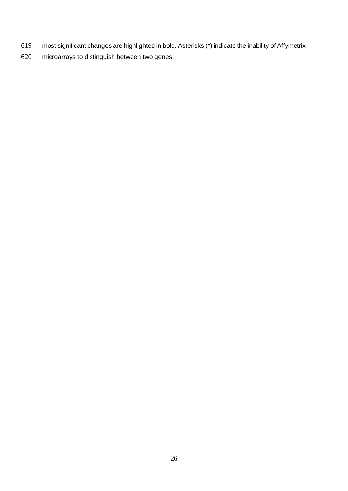- most significant changes are highlighted in bold. Asterisks (\*) indicate the inability of Affymetrix
- microarrays to distinguish between two genes.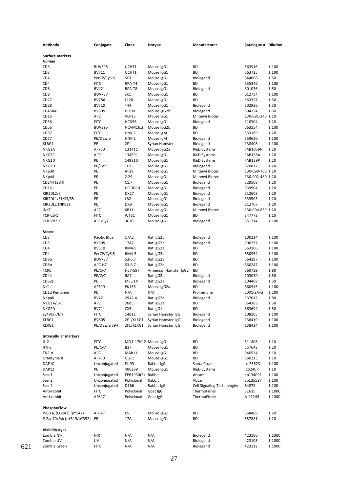| Antibody                               | Conjugate                    | Clone                | Isotype                   | Manufacturer                         | Catalogue # Dilution |                |
|----------------------------------------|------------------------------|----------------------|---------------------------|--------------------------------------|----------------------|----------------|
|                                        |                              |                      |                           |                                      |                      |                |
| Surface markers                        |                              |                      |                           |                                      |                      |                |
| Human                                  |                              |                      |                           |                                      |                      |                |
| CD <sub>3</sub>                        | <b>BUV395</b>                | UCHT1                | Mouse IgG1                | ВD                                   | 563546               | 1:100          |
| CD3                                    | BV711                        | UCHT1                | Mouse IgG1                | ВD                                   | 563725               | 1:100          |
| CD <sub>4</sub>                        | PerCP/Cy5.5                  | SK3                  | Mouse IgG1                | Biolegend                            | 344608               | 1:50           |
| CD <sub>4</sub>                        | <b>FITC</b>                  | RPA-T4               | Mouse IgG1                | ВD                                   | 555346               | 1:100          |
| CD <sub>8</sub>                        | BV421                        | RPA-T8               | Mouse IgG1                | Biolegend                            | 301036               | 1:50           |
| CD <sub>8</sub>                        | <b>BUV737</b>                | SK1                  | Mouse IgG1                | ВD                                   | 612754               | 1:100          |
| CD <sub>27</sub>                       | <b>BV786</b>                 | L128                 | Mouse IgG1                | ВD                                   | 563327               | 1:50           |
| CD <sub>28</sub><br>CD45RA             | <b>BV510</b><br><b>BV605</b> | T44<br>HI100         | Mouse IgG1                | Biolegend<br>Biolegend               | 302936<br>304134     | 1:50<br>1:50   |
| CD16                                   | APC                          | VEP13                | Mouse IgG2b<br>Mouse IgG1 | Miltenyi Biotec                      | 130-091-246 1:10     |                |
| CD56                                   | <b>FITC</b>                  | HCD56                | Mouse IgG1                | Biolegend                            | 318304               | 1:20           |
| CD <sub>56</sub>                       | <b>BUV395</b>                | <b>NCAM16.2</b>      | Mouse IgG2b               | ВD                                   | 563554               | 1:100          |
| CD <sub>57</sub>                       | <b>FITC</b>                  | <b>HNK-1</b>         | Mouse IgM                 | ВD                                   | 333169               | 1:20           |
| CD <sub>57</sub>                       | PE/Dazzle                    | <b>HNK-1</b>         | Mouse IgM                 | Biolegend                            | 359620               | 1:100          |
| KLRG1                                  | PE                           | 2F1                  | Syrian Hamster            | Biolegend                            | 138408               | 1:100          |
| NKG2A                                  | AF700                        | 131411               | Mouse IgG2a               | R&D Systems                          | FAB1059N             | 1:20           |
| NKG2C                                  | <b>APC</b>                   | 134591               | Mouse IgG1                | R&D Systems                          | FAB138A              | 1:20           |
| NKG2D                                  | PE                           | 149810               | Mouse IgG1                | R&D Systems                          | FAB139P              | 1:20           |
| NKG2D                                  | PE/Cy7                       | 1D11                 | Mouse IgG1                | Biolegend                            | 320812               | 1:20           |
| NKp30                                  | PE                           | AF29                 | Mouse IgG1                | Miltenyi Biotec                      | 130-099-706 1:20     |                |
| NKp44                                  | PE                           | 2.29                 | Mouse IgG1                | Miltenyi Biotec                      | 130-092-480 1:20     |                |
| CD244 (2B4)                            | PE                           | C1.7                 | Mouse IgG1                | Biolegend                            | 329508               | 1:20           |
| CD161                                  | PE                           | HP-3G10              | Mouse IgG1                | Biolegend                            | 339904               | 1:20           |
| KIR2DL2/3                              | PE                           | DX27                 | Mouse IgG1                | Biolegend                            | 312603               | 1:20           |
| KIR2DL1/S1/S3/S5                       | PE                           | LB <sub>2</sub>      | Mouse IgG1                | Biolegend                            | 339505               | 1:20           |
| KIR3DL1 (NKB1)                         | PE                           | DX9                  | Mouse IgG1                | Biolegend                            | 312707               | 1:20           |
| iNKT                                   | <b>APC</b>                   | 6B11                 | Mouse IgG1                | Miltenyi Biotec                      | 130-094-839 1:20     |                |
| TCR $\alpha\beta$ -1                   | <b>FITC</b>                  | WT31                 | Mouse IgG1                | ВD                                   | 347773               | 1:10           |
| TCR $V\alpha$ 7.2                      | APC/Cy7                      | 3C10                 | Mouse IgG1                | Biolegend                            | 351714               | 1:100          |
|                                        |                              |                      |                           |                                      |                      |                |
| Mouse                                  |                              |                      |                           |                                      |                      |                |
| CD <sub>3</sub>                        | Pacific Blue                 | 17A2                 | Rat IgG2b                 | Biolegend                            | 100214               | 1:100          |
| CD3<br>CD <sub>4</sub>                 | <b>BV605</b><br><b>BV510</b> | 17A2<br>RM4-5        | Rat IgG2b<br>Rat IgG2a    | Biolegend<br>ВD                      | 100237<br>563106     | 1:100<br>1:100 |
| CD <sub>4</sub>                        | PerCP/Cy5.5                  | RM4-5                | Rat IgG2a                 | ВD                                   | 550954               | 1:100          |
| $CD8\alpha$                            | <b>BUV737</b>                | 53-6.7               | Rat IgG2a                 | ВD                                   | 564297               | 1:100          |
| $CD8\alpha$                            | APC-H7                       | 53-6.7               | Rat IgG2a                 | ВD                                   | 560247               | 1:100          |
| $TCR\beta$                             | PE/Cy7                       | H57-597              | Armenian Hamster IgG2     | BD                                   | 560729               | 1:80           |
| CD44                                   | PE/Cy7                       | IM7                  | Rat IgG2b                 | Biolegend                            | 103030               | 1:50           |
| CD62L                                  | PE                           | <b>MEL-14</b>        | Rat IgG2a                 | Biolegend                            | 104408               | 1:50           |
| NK1.1                                  | AF700                        | PK136                | Mouse IgG2a               | ВD                                   | 560515               | 1:100          |
| CD1d Pentamer                          | PE                           | N/A                  | N/A                       | Prolmmune                            | E001-2A-G            | 1:200          |
| NKp46                                  | BV421                        | 29A1.4               | Rat IgG2a                 | Biolegend                            | 137612               | 1:80           |
| NKG2A/C/E                              | APC                          | 20d5                 | Rat IgG2a                 | ВD                                   | 564383               | 1:50           |
| NKG2D                                  | BV711                        | CX5                  | Rat IgG1                  | ВD                                   | 563694               | 1:50           |
| Ly49C/F/I/H                            | <b>FITC</b>                  | 14B11                | Syrian Hamster IgG        | Biolegend                            | 108205               | 1:100          |
| KLRG1                                  | BV605                        | 2F1/KLRG1            | Syrian Hamster IgG        | Biolegend                            | 138419               | 1:100          |
| KLRG1                                  | PE/Dazzle 594                | 2F1/KLRG1            | Syrian Hamster IgG        | Biolegend                            | 138424               | 1:100          |
|                                        |                              |                      |                           |                                      |                      |                |
| Intracellular markers                  |                              |                      |                           |                                      |                      |                |
| $IL-2$                                 | <b>FITC</b>                  | MQ1-17H12 Mouse IgG1 |                           | ВD                                   | 511408               | 1:10           |
| IFN-γ                                  | PE/Cy7                       | B27                  | Mouse IgG1                | ВD                                   | 557643               | 1:20           |
| $TNF-\alpha$                           | APC                          | MAb11                | Mouse IgG1                | ВD                                   | 340534               | 1:10           |
| Granzyme B                             | AF700                        | GB11                 | Mouse IgG1                | ВD                                   | 560213               | 1:10           |
| DAP10                                  | Unconjugated                 | FL-93                | Rabbit IgG                | Santa Cruz                           | sc-25623             | 1:100          |
| DAP12                                  | PE                           | 406288               | Mouse IgG1                | R&D Systems<br>Abcam                 | IC5240P              | 1:10           |
| Sesn1                                  | Unconjugated                 | EPR1930(2)           | Rabbit<br>Rabbit          |                                      | ab134091             | 1:100          |
| Sesn <sub>2</sub><br>Sesn <sub>2</sub> | Unconjugated<br>Unconjugated | Polyclonal<br>D1B6   | Rabbit IgG                | Abcam<br>Cell Signaling Technologies | ab135597<br>8487S    | 1:100<br>1:100 |
| Anti-rabbit                            | <b>FITC</b>                  | Polyclonal           | Goat IgG                  | ThermoFisher                         | 31635                | 1:1000         |
| Anti-rabbit                            | AF647                        | Polyclonal           | Goat IgG                  | ThermoFisher                         | A-21245              | 1:1000         |
|                                        |                              |                      |                           |                                      |                      |                |
| PhosphoFlow                            |                              |                      |                           |                                      |                      |                |
| P-CD3((CD247)(pY142)                   | AF647                        | K5                   | Mouse IgG1                | ВD                                   | 558489               | 1:20           |
| P-Zap70/Syk (pY319/pY352) PE           |                              | 17A                  | Mouse IgG1                | ВD                                   | 557881               | 1:20           |
|                                        |                              |                      |                           |                                      |                      |                |
| <b>Viability dyes</b>                  |                              |                      |                           |                                      |                      |                |
| Zombie NIR                             | <b>NIR</b>                   | N/A                  | N/A                       | Biolegend                            | 423106               | 1:1000         |
| Zombie UV                              | UV                           | N/A                  | N/A                       | Biolegend                            | 423108               | 1:1000         |
| Zombie Green                           | <b>FITC</b>                  | N/A                  | N/A                       | Biolegend                            | 423112               | 1:1000         |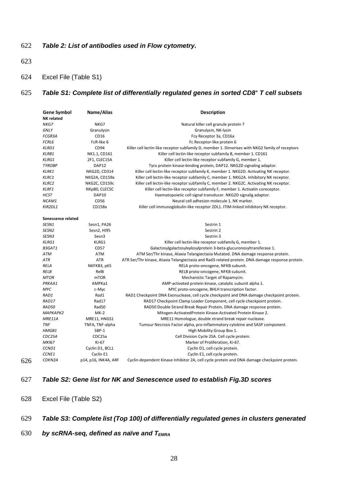# 622 *Table 2: List of antibodies used in Flow cytometry.*

- 623
- 624 Excel File (Table S1)

### *f* 7 *Table S1: Complete list of differentially regulated genes in sorted CD8<sup>+</sup> T cell subsets*

| <b>Gene Symbol</b>  | Name/Alias                   | <b>Description</b>                                                                               |  |
|---------------------|------------------------------|--------------------------------------------------------------------------------------------------|--|
| <b>NK</b> related   |                              |                                                                                                  |  |
| NKG7                | NKG7                         | Natural killer cell granule protein 7                                                            |  |
| <b>GNLY</b>         | Granulysin                   | Granulysin, NK-lysin                                                                             |  |
| <b>FCGR3A</b>       | CD16                         | Fcy Receptor 3a, CD16a                                                                           |  |
| FCRL6               | FcR-like 6                   | Fc Receptor-like protein 6                                                                       |  |
| KLRD1               | CD94                         | Killer cell lectin-like receptor subfamily D, member 1. Dimerises with NKG2 family of receptors  |  |
| KLRB1               | NK1.1, CD161                 | Killer cell lectin-like receptor subfamily B, member 1. CD161                                    |  |
| KLRG1               | 2F1, CLEC15A                 | Killer cell lectin-like receptor subfamily G, member 1.                                          |  |
| <b>TYROBP</b>       | DAP12                        | Tyro protein kinase-binding protein, DAP12. NKG2D signaling adaptor.                             |  |
| <b>KLRK1</b>        | <b>NKG2D, CD314</b>          | Killer cell lectin-like receptor subfamily K, member 1. NKG2D. Activating NK receptor.           |  |
| KLRC1               | NKG2A, CD159a                | Killer cell lectin-like receptor subfamily C, member 1. NKG2A. Inhibitory NK receptor.           |  |
| KLRC2               | NKG2C, CD159c                | Killer cell lectin-like receptor subfamily C, member 2. NKG2C. Activating NK receptor.           |  |
| <b>KLRF1</b>        | NKp80, CLEC5C                | Killer cell lectin-like receptor subfamily F, member 1. Activatin coreceptor.                    |  |
| <b>HCST</b>         | <b>DAP10</b>                 | Haematopoietic cell signal transducer. NKG2D signalig adaptor.                                   |  |
| NCAM1               | CD <sub>56</sub>             | Neural cell adhesion molecule 1. NK marker.                                                      |  |
| KIR2DL1             | CD158a                       | Killer cell immunoglobulin-like receptor 2DL1. ITIM-linked inhibitory NK receptor.               |  |
| Senescence related  |                              |                                                                                                  |  |
| SESN1               |                              | Sestrin 1                                                                                        |  |
| SESN <sub>2</sub>   | Sesn1, PA26<br>Sesn2, HI95   | Sestrin 2                                                                                        |  |
| SESN3               | Sesn <sub>3</sub>            | Sestrin 3                                                                                        |  |
| <b>KLRG1</b>        | KLRG1                        | Killer cell lectin-like receptor subfamily G, member 1.                                          |  |
| B3GAT1              | CD57                         | Galactosylgalactosylxylosylprotein 3-beta-glucuronosyltransferase 1.                             |  |
| ATM                 | <b>ATM</b>                   |                                                                                                  |  |
| ATR                 | <b>ATR</b>                   | ATM Ser/Thr kinase, Ataxia Telangiectasia Mutated. DNA damage response protein.                  |  |
| <b>RELA</b>         |                              | ATR Ser/Thr kinase, Ataxia Telangiectasia and Rad3-related protein. DNA damage response protein. |  |
|                     | NKFKB3, p65                  | RELA proto-oncogene, NFKB subunit.                                                               |  |
| RELB<br><b>MTOR</b> | RelB<br>m <sub>T</sub> OR    | RELB proto-oncogene, NFKB subunit.                                                               |  |
| PRKAA1              | AMPKa1                       | Mechanistic Target of Rapamycin.                                                                 |  |
| MYC                 |                              | AMP-activated protein kinase, catalytic subunit alpha 1.                                         |  |
| RAD1                | c-Myc                        | MYC proto-oncogene, BHLH transcription factor.                                                   |  |
|                     | Rad1<br>Rad17                | RAD1 Checkpoint DNA Exonuclease, cell cycle checkpoint and DNA damage checkpoint protein.        |  |
| RAD17               |                              | RAD17 Checkpoint Clamp Loader Component, cell cycle checkpoint protein.                          |  |
| RAD50               | Rad50                        | RAD50 Double Strand Break Repair Protein, DNA damage response protein.                           |  |
| MAPKAPK2            | $MK-2$                       | Mitogen-ActivatedProtein Kinase-Activated Protein Kinase 2.                                      |  |
| MRE11A              | MRE11, HNGS1                 | MRE11 Homologue, double strand break repair nuclease.                                            |  |
| <b>TNF</b>          | TNFA, TNF-alpha              | Tumour Necrosis Factor alpha, pro-inflammatory cytokine and SASP component.                      |  |
| HMGB1               | SBP-1<br>CDC25a              | High Mobility Group Box 1.                                                                       |  |
| CDC25A              | Ki-67                        | Cell Division Cycle 25A. Cell cycle protein.                                                     |  |
| <b>MKI67</b>        |                              | Marker of Proliferation, Ki-67.                                                                  |  |
| CCND1<br>CCNE1      | Cyclin D1, BCL1<br>Cyclin E1 | Cyclin D1, cell cycle protein.<br>Cyclin E1, cell cycle protein.                                 |  |
| CDKN2A              |                              |                                                                                                  |  |
|                     | p14, p16, INK4A, ARF         | Cyclin-dependent Kinase Inhibitor 2A, cell cycle protein and DNA damage checkpoint protein.      |  |

# 627 *Table S2: Gene list for NK and Senescence used to establish Fig.3D scores*

628 Excel File (Table S2)

626

# 629 *Table S3: Complete list (Top 100) of differentially regulated genes in clusters generated*

630 *by scRNA-seq, defined as naïve and TEMRA*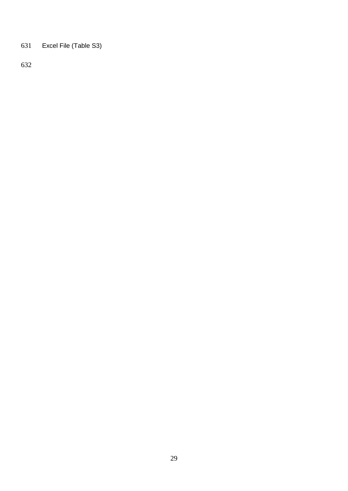Excel File (Table S3)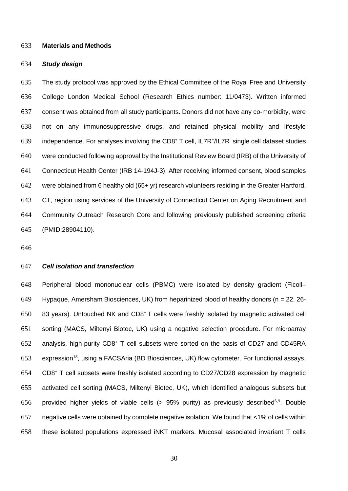#### **Materials and Methods**

#### *Study design*

 The study protocol was approved by the Ethical Committee of the Royal Free and University College London Medical School (Research Ethics number: 11/0473). Written informed consent was obtained from all study participants. Donors did not have any co-morbidity, were not on any immunosuppressive drugs, and retained physical mobility and lifestyle 639 independence. For analyses involving the CD8<sup>+</sup> T cell, IL7R<sup>+</sup>/IL7R<sup>-</sup> single cell dataset studies were conducted following approval by the Institutional Review Board (IRB) of the University of Connecticut Health Center (IRB 14-194J-3). After receiving informed consent, blood samples were obtained from 6 healthy old (65+ yr) research volunteers residing in the Greater Hartford, 643 CT, region using services of the University of Connecticut Center on Aging Recruitment and Community Outreach Research Core and following previously published screening criteria (PMID:28904110).

## *Cell isolation and transfection*

 Peripheral blood mononuclear cells (PBMC) were isolated by density gradient (Ficoll– Hypaque, Amersham Biosciences, UK) from heparinized blood of healthy donors (n *=* 22, 26- 650 83 years). Untouched NK and CD8<sup>+</sup>T cells were freshly isolated by magnetic activated cell sorting (MACS, Miltenyi Biotec, UK) using a negative selection procedure. For microarray analysis, high-purity CD8<sup>+</sup> T cell subsets were sorted on the basis of CD27 and CD45RA 653 expression<sup>18</sup>, using a FACSAria (BD Biosciences, UK) flow cytometer. For functional assays, CD8<sup>+</sup> T cell subsets were freshly isolated according to CD27/CD28 expression by magnetic activated cell sorting (MACS, Miltenyi Biotec, UK), which identified analogous subsets but 656 provided higher yields of viable cells  $(> 95\%$  purity) as previously described<sup>6,9</sup>. Double negative cells were obtained by complete negative isolation. We found that <1% of cells within these isolated populations expressed iNKT markers. Mucosal associated invariant T cells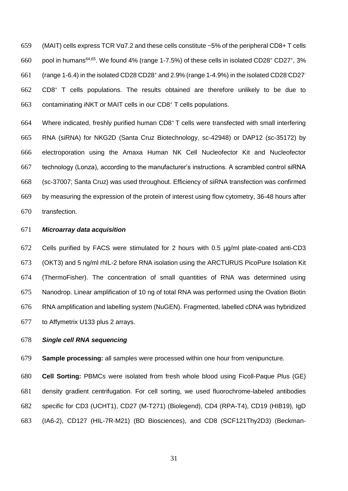659 (MAIT) cells express TCR V $\alpha$ 7.2 and these cells constitute ~5% of the peripheral CD8+ T cells pool in humans<sup>64,65</sup>. We found 4% (range 1-7.5%) of these cells in isolated CD28<sup>+</sup> CD27<sup>+</sup>, 3%  $(61)$  (range 1-6.4) in the isolated CD28 CD28<sup>+</sup> and 2.9% (range 1-4.9%) in the isolated CD28 CD27<sup>-</sup> CD8<sup>+</sup> T cells populations. The results obtained are therefore unlikely to be due to 663 contaminating iNKT or MAIT cells in our CD8 $+$  T cells populations.

664 Where indicated, freshly purified human CD8<sup>+</sup>T cells were transfected with small interfering RNA (siRNA) for NKG2D (Santa Cruz Biotechnology, sc-42948) or DAP12 (sc-35172) by electroporation using the Amaxa Human NK Cell Nucleofector Kit and Nucleofector technology (Lonza), according to the manufacturer's instructions. A scrambled control siRNA (sc-37007; Santa Cruz) was used throughout. Efficiency of siRNA transfection was confirmed by measuring the expression of the protein of interest using flow cytometry, 36-48 hours after transfection.

#### *Microarray data acquisition*

 Cells purified by FACS were stimulated for 2 hours with 0.5 µg/ml plate-coated anti-CD3 (OKT3) and 5 ng/ml rhIL-2 before RNA isolation using the ARCTURUS PicoPure Isolation Kit (ThermoFisher). The concentration of small quantities of RNA was determined using Nanodrop. Linear amplification of 10 ng of total RNA was performed using the Ovation Biotin RNA amplification and labelling system (NuGEN). Fragmented, labelled cDNA was hybridized to Affymetrix U133 plus 2 arrays.

### *Single cell RNA sequencing*

**Sample processing:** all samples were processed within one hour from venipuncture.

 **Cell Sorting:** PBMCs were isolated from fresh whole blood using Ficoll-Paque Plus (GE) density gradient centrifugation. For cell sorting, we used fluorochrome-labeled antibodies specific for CD3 (UCHT1), CD27 (M-T271) (Biolegend), CD4 (RPA-T4), CD19 (HIB19), IgD (IA6-2), CD127 (HIL-7R-M21) (BD Biosciences), and CD8 (SCF121Thy2D3) (Beckman-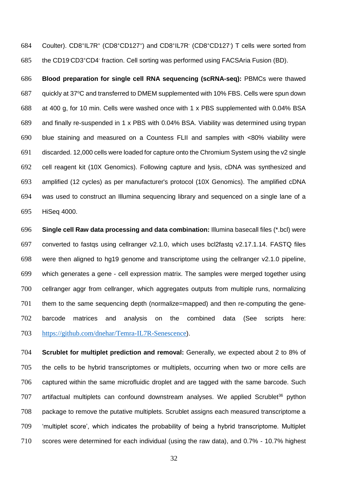684 Coulter). CD8+IL7R+ (CD8+CD127+) and CD8+IL7R· (CD8+CD127·) T cells were sorted from 685 the CD19 CD3+CD4 fraction. Cell sorting was performed using FACSAria Fusion (BD).

 **Blood preparation for single cell RNA sequencing (scRNA-seq):** PBMCs were thawed 687 guickly at  $37^{\circ}$ C and transferred to DMEM supplemented with 10% FBS. Cells were spun down at 400 g, for 10 min. Cells were washed once with 1 x PBS supplemented with 0.04% BSA and finally re-suspended in 1 x PBS with 0.04% BSA. Viability was determined using trypan blue staining and measured on a Countess FLII and samples with <80% viability were discarded. 12,000 cells were loaded for capture onto the Chromium System using the v2 single cell reagent kit (10X Genomics). Following capture and lysis, cDNA was synthesized and amplified (12 cycles) as per manufacturer's protocol (10X Genomics). The amplified cDNA was used to construct an Illumina sequencing library and sequenced on a single lane of a HiSeq 4000.

 **Single cell Raw data processing and data combination:** Illumina basecall files (\*.bcl) were converted to fastqs using cellranger v2.1.0, which uses bcl2fastq v2.17.1.14. FASTQ files were then aligned to hg19 genome and transcriptome using the cellranger v2.1.0 pipeline, which generates a gene - cell expression matrix. The samples were merged together using cellranger aggr from cellranger, which aggregates outputs from multiple runs, normalizing them to the same sequencing depth (normalize=mapped) and then re-computing the gene- barcode matrices and analysis on the combined data (See scripts here: <https://github.com/dnehar/Temra-IL7R-Senescence>).

 **Scrublet for multiplet prediction and removal:** Generally, we expected about 2 to 8% of the cells to be hybrid transcriptomes or multiplets, occurring when two or more cells are captured within the same microfluidic droplet and are tagged with the same barcode. Such artifactual multiplets can confound downstream analyses. We applied Scrublet<sup>36</sup> python package to remove the putative multiplets. Scrublet assigns each measured transcriptome a 'multiplet score', which indicates the probability of being a hybrid transcriptome. Multiplet scores were determined for each individual (using the raw data), and 0.7% - 10.7% highest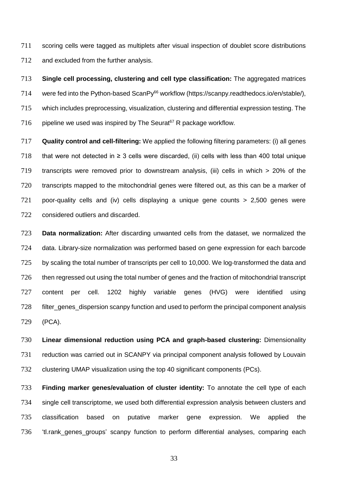scoring cells were tagged as multiplets after visual inspection of doublet score distributions 712 and excluded from the further analysis.

 **Single cell processing, clustering and cell type classification:** The aggregated matrices 714 were fed into the Python-based ScanPy<sup>66</sup> workflow (https://scanpy.readthedocs.io/en/stable/), which includes preprocessing, visualization, clustering and differential expression testing. The 716 pipeline we used was inspired by The Seurat<sup>67</sup> R package workflow.

 **Quality control and cell-filtering:** We applied the following filtering parameters: (i) all genes 718 that were not detected in  $\geq$  3 cells were discarded, (ii) cells with less than 400 total unique transcripts were removed prior to downstream analysis, (iii) cells in which > 20% of the transcripts mapped to the mitochondrial genes were filtered out, as this can be a marker of poor-quality cells and (iv) cells displaying a unique gene counts > 2,500 genes were considered outliers and discarded.

 **Data normalization:** After discarding unwanted cells from the dataset, we normalized the data. Library-size normalization was performed based on gene expression for each barcode 725 by scaling the total number of transcripts per cell to 10,000. We log-transformed the data and then regressed out using the total number of genes and the fraction of mitochondrial transcript content per cell. 1202 highly variable genes (HVG) were identified using filter\_genes\_dispersion scanpy function and used to perform the principal component analysis (PCA).

 **Linear dimensional reduction using PCA and graph-based clustering:** Dimensionality reduction was carried out in SCANPY via principal component analysis followed by Louvain clustering UMAP visualization using the top 40 significant components (PCs).

 **Finding marker genes/evaluation of cluster identity:** To annotate the cell type of each single cell transcriptome, we used both differential expression analysis between clusters and classification based on putative marker gene expression. We applied the 'tl.rank\_genes\_groups' scanpy function to perform differential analyses, comparing each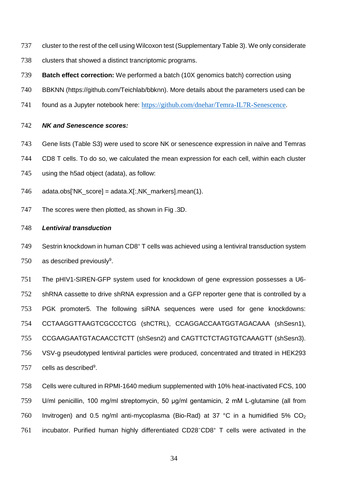- cluster to the rest of the cell using Wilcoxon test (Supplementary Table 3). We only considerate
- 738 clusters that showed a distinct trancriptomic programs.
- **Batch effect correction:** We performed a batch (10X genomics batch) correction using
- BBKNN (https://github.com/Teichlab/bbknn). More details about the parameters used can be
- found as a Jupyter notebook here: <https://github.com/dnehar/Temra-IL7R-Senescence>.

### *NK and Senescence scores:*

- Gene lists (Table S3) were used to score NK or senescence expression in naïve and Temras
- CD8 T cells. To do so, we calculated the mean expression for each cell, within each cluster
- using the h5ad object (adata), as follow:
- adata.obs['NK\_score] = adata.X[:,NK\_markers].mean(1).
- The scores were then plotted, as shown in Fig .3D.

### *Lentiviral transduction*

 Sestrin knockdown in human CD8<sup>+</sup> T cells was achieved using a lentiviral transduction system 750 as described previously.

 The pHIV1-SIREN-GFP system used for knockdown of gene expression possesses a U6- shRNA cassette to drive shRNA expression and a GFP reporter gene that is controlled by a PGK promoter5. The following siRNA sequences were used for gene knockdowns: CCTAAGGTTAAGTCGCCCTCG (shCTRL), CCAGGACCAATGGTAGACAAA (shSesn1), CCGAAGAATGTACAACCTCTT (shSesn2) and CAGTTCTCTAGTGTCAAAGTT (shSesn3). VSV-g pseudotyped lentiviral particles were produced, concentrated and titrated in HEK293 cells as described<sup>9</sup>.

 Cells were cultured in RPMI-1640 medium supplemented with 10% heat-inactivated FCS, 100 U/ml penicillin, 100 mg/ml streptomycin, 50 μg/ml gentamicin, 2 mM L-glutamine (all from 760 Invitrogen) and 0.5 ng/ml anti-mycoplasma (Bio-Rad) at 37 °C in a humidified 5%  $CO<sub>2</sub>$ 761 incubator. Purified human highly differentiated CD28<sup>-</sup>CD8<sup>+</sup> T cells were activated in the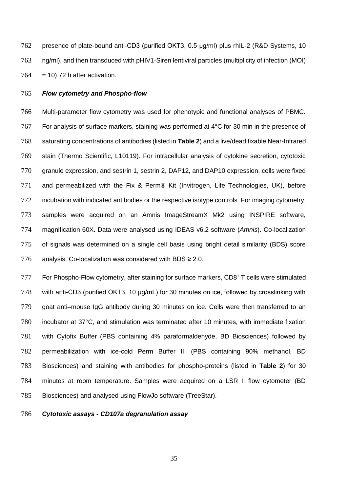presence of plate-bound anti-CD3 (purified OKT3, 0.5 μg/ml) plus rhIL-2 (R&D Systems, 10 ng/ml), and then transduced with pHIV1-Siren lentiviral particles (multiplicity of infection (MOI)  $764 = 10$ ) 72 h after activation.

#### *Flow cytometry and Phospho-flow*

 Multi-parameter flow cytometry was used for phenotypic and functional analyses of PBMC. For analysis of surface markers, staining was performed at 4°C for 30 min in the presence of saturating concentrations of antibodies (listed in **Table 2**) and a live/dead fixable Near-Infrared stain (Thermo Scientific, L10119). For intracellular analysis of cytokine secretion, cytotoxic granule expression, and sestrin 1, sestrin 2, DAP12, and DAP10 expression, cells were fixed and permeabilized with the Fix & Perm® Kit (Invitrogen, Life Technologies, UK), before 772 incubation with indicated antibodies or the respective isotype controls. For imaging cytometry, samples were acquired on an Amnis ImageStreamX Mk2 using INSPIRE software, magnification 60X. Data were analysed using IDEAS v6.2 software (*Amnis*). Co-localization of signals was determined on a single cell basis using bright detail similarity (BDS) score 776 analysis. Co-localization was considered with BDS  $\geq 2.0$ .

777 For Phospho-Flow cytometry, after staining for surface markers, CD8<sup>+</sup> T cells were stimulated with anti-CD3 (purified OKT3, 10 μg/mL) for 30 minutes on ice, followed by crosslinking with goat anti–mouse IgG antibody during 30 minutes on ice. Cells were then transferred to an incubator at 37°C, and stimulation was terminated after 10 minutes, with immediate fixation with Cytofix Buffer (PBS containing 4% paraformaldehyde, BD Biosciences) followed by permeabilization with ice-cold Perm Buffer III (PBS containing 90% methanol, BD Biosciences) and staining with antibodies for phospho-proteins (listed in **Table 2**) for 30 minutes at room temperature. Samples were acquired on a LSR II flow cytometer (BD Biosciences) and analysed using FlowJo software (TreeStar).

#### *Cytotoxic assays - CD107a degranulation assay*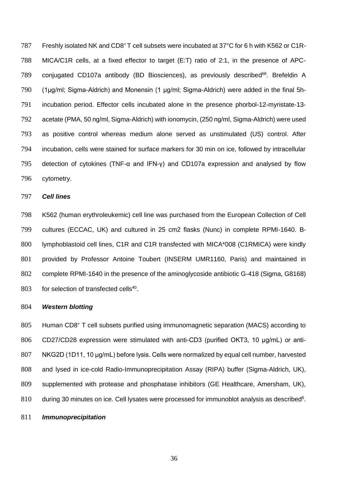787 Freshly isolated NK and CD8<sup>+</sup>T cell subsets were incubated at 37°C for 6 h with K562 or C1R- MICA/C1R cells, at a fixed effector to target (E:T) ratio of 2:1, in the presence of APC-789 conjugated CD107a antibody (BD Biosciences), as previously described<sup>68</sup>. Brefeldin A (1μg/ml; Sigma-Aldrich) and Monensin (1 μg/ml; Sigma-Aldrich) were added in the final 5h- incubation period. Effector cells incubated alone in the presence phorbol-12-myristate-13- acetate (PMA, 50 ng/ml, Sigma-Aldrich) with ionomycin, (250 ng/ml, Sigma-Aldrich) were used as positive control whereas medium alone served as unstimulated (US) control. After incubation, cells were stained for surface markers for 30 min on ice, followed by intracellular detection of cytokines (TNF-α and IFN-γ) and CD107a expression and analysed by flow cytometry.

### *Cell lines*

 K562 (human erythroleukemic) cell line was purchased from the European Collection of Cell cultures (ECCAC, UK) and cultured in 25 cm2 flasks (Nunc) in complete RPMI-1640. B- lymphoblastoid cell lines, C1R and C1R transfected with MICA\*008 (C1RMICA) were kindly provided by Professor Antoine Toubert (INSERM UMR1160, Paris) and maintained in complete RPMI-1640 in the presence of the aminoglycoside antibiotic G-418 (Sigma, G8168) for selection of transfected cells<sup>40</sup>.

#### *Western blotting*

Human CD8<sup>+</sup> T cell subsets purified using immunomagnetic separation (MACS) according to CD27/CD28 expression were stimulated with anti-CD3 (purified OKT3, 10 μg/mL) or anti- NKG2D (1D11, 10 μg/mL) before lysis. Cells were normalized by equal cell number, harvested and lysed in ice-cold Radio-Immunoprecipitation Assay (RIPA) buffer (Sigma-Aldrich, UK), supplemented with protease and phosphatase inhibitors (GE Healthcare, Amersham, UK), during 30 minutes on ice. Cell lysates were processed for immunoblot analysis as described<sup>6</sup>.

#### *Immunoprecipitation*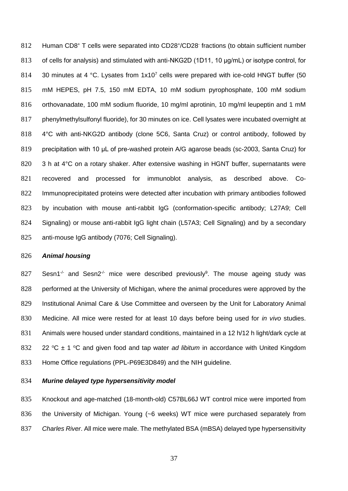812 Human CD8+ T cells were separated into CD28+/CD28 fractions (to obtain sufficient number of cells for analysis) and stimulated with anti-NKG2D (1D11, 10 μg/mL) or isotype control, for 814 30 minutes at 4 °C. Lysates from  $1x10^7$  cells were prepared with ice-cold HNGT buffer (50 mM HEPES, pH 7.5, 150 mM EDTA, 10 mM sodium pyrophosphate, 100 mM sodium orthovanadate, 100 mM sodium fluoride, 10 mg/ml aprotinin, 10 mg/ml leupeptin and 1 mM phenylmethylsulfonyl fluoride), for 30 minutes on ice. Cell lysates were incubated overnight at 4°C with anti-NKG2D antibody (clone 5C6, Santa Cruz) or control antibody, followed by precipitation with 10 μL of pre-washed protein A/G agarose beads (sc-2003, Santa Cruz) for 820 3 h at 4°C on a rotary shaker. After extensive washing in HGNT buffer, supernatants were recovered and processed for immunoblot analysis, as described above. Co-822 Immunoprecipitated proteins were detected after incubation with primary antibodies followed by incubation with mouse anti-rabbit IgG (conformation-specific antibody; L27A9; Cell Signaling) or mouse anti-rabbit IgG light chain (L57A3; Cell Signaling) and by a secondary anti-mouse IgG antibody (7076; Cell Signaling).

#### *Animal housing*

Sesn1<sup>-/-</sup> and Sesn2<sup>-/-</sup> mice were described previously<sup>9</sup>. The mouse ageing study was 828 performed at the University of Michigan, where the animal procedures were approved by the Institutional Animal Care & Use Committee and overseen by the Unit for Laboratory Animal Medicine. All mice were rested for at least 10 days before being used for *in vivo* studies. Animals were housed under standard conditions, maintained in a 12 h/12 h light/dark cycle at  $\degree$ C  $\pm$  1  $\degree$ C and given food and tap water *ad libitum* in accordance with United Kingdom Home Office regulations (PPL-P69E3D849) and the NIH guideline.

## *Murine delayed type hypersensitivity model*

 Knockout and age-matched (18-month-old) C57BL66J WT control mice were imported from the University of Michigan. Young (~6 weeks) WT mice were purchased separately from *Charles River*. All mice were male. The methylated BSA (mBSA) delayed type hypersensitivity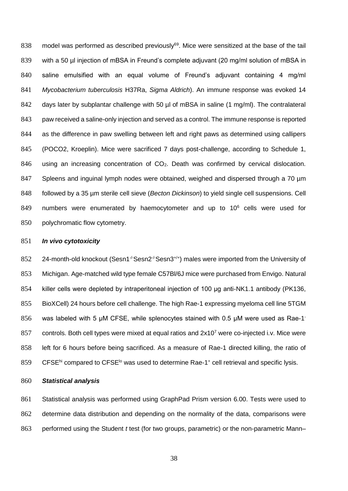838 model was performed as described previously<sup>69</sup>. Mice were sensitized at the base of the tail 839 with a 50 µl injection of mBSA in Freund's complete adjuvant (20 mg/ml solution of mBSA in 840 saline emulsified with an equal volume of Freund's adjuvant containing 4 mg/ml 841 *Mycobacterium tuberculosis* H37Ra, *Sigma Aldrich*). An immune response was evoked 14 842 days later by subplantar challenge with 50 µl of mBSA in saline (1 mg/ml). The contralateral 843 paw received a saline-only injection and served as a control. The immune response is reported 844 as the difference in paw swelling between left and right paws as determined using callipers 845 (POCO2, Kroeplin). Mice were sacrificed 7 days post-challenge, according to Schedule 1, 846 using an increasing concentration of  $CO<sub>2</sub>$ . Death was confirmed by cervical dislocation. 847 Spleens and inguinal lymph nodes were obtained, weighed and dispersed through a 70 um 848 followed by a 35 µm sterile cell sieve (*Becton Dickinson*) to yield single cell suspensions. Cell 849 numbers were enumerated by haemocytometer and up to  $10^6$  cells were used for 850 polychromatic flow cytometry.

#### 851 *In vivo cytotoxicity*

852 24-month-old knockout (Sesn1<sup>-/-</sup>Sesn2<sup>-/-</sup>Sesn3<sup>+/+</sup>) males were imported from the University of 853 Michigan. Age-matched wild type female C57Bl/6J mice were purchased from Envigo. Natural 854 killer cells were depleted by intraperitoneal injection of 100 μg anti-NK1.1 antibody (PK136, 855 BioXCell) 24 hours before cell challenge. The high Rae-1 expressing myeloma cell line 5TGM 856 was labeled with 5 μM CFSE, while splenocytes stained with 0.5 μM were used as Rae-1 857 controls. Both cell types were mixed at equal ratios and  $2x10<sup>7</sup>$  were co-injected i.v. Mice were 858 left for 6 hours before being sacrificed. As a measure of Rae-1 directed killing, the ratio of 859 CFSE<sup>hi</sup> compared to CFSE<sup>1</sup> was used to determine Rae-1<sup>+</sup> cell retrieval and specific lysis.

# 860 *Statistical analysis*

861 Statistical analysis was performed using GraphPad Prism version 6.00. Tests were used to 862 determine data distribution and depending on the normality of the data, comparisons were 863 performed using the Student *t* test (for two groups, parametric) or the non-parametric Mann–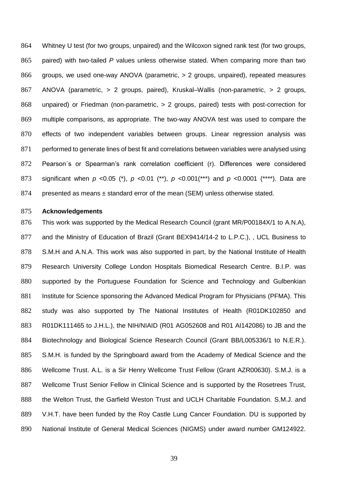Whitney U test (for two groups, unpaired) and the Wilcoxon signed rank test (for two groups, paired) with two-tailed *P* values unless otherwise stated. When comparing more than two groups, we used one-way ANOVA (parametric, > 2 groups, unpaired), repeated measures ANOVA (parametric, > 2 groups, paired), Kruskal–Wallis (non-parametric, > 2 groups, unpaired) or Friedman (non-parametric, > 2 groups, paired) tests with post-correction for multiple comparisons, as appropriate. The two-way ANOVA test was used to compare the effects of two independent variables between groups. Linear regression analysis was 871 performed to generate lines of best fit and correlations between variables were analysed using Pearson´s or Spearman's rank correlation coefficient (r). Differences were considered significant when *p* <0.05 (\*), *p* <0.01 (\*\*), *p* <0.001(\*\*\*) and *p* <0.0001 (\*\*\*\*). Data are 874 presented as means ± standard error of the mean (SEM) unless otherwise stated.

#### **Acknowledgements**

 This work was supported by the Medical Research Council (grant MR/P00184X/1 to A.N.A), 877 and the Ministry of Education of Brazil (Grant BEX9414/14-2 to L.P.C.), , UCL Business to S.M.H and A.N.A. This work was also supported in part, by the National Institute of Health Research University College London Hospitals Biomedical Research Centre. B.I.P. was supported by the Portuguese Foundation for Science and Technology and Gulbenkian 881 Institute for Science sponsoring the Advanced Medical Program for Physicians (PFMA). This study was also supported by The National Institutes of Health (R01DK102850 and R01DK111465 to J.H.L.), the NIH/NIAID (R01 AG052608 and R01 AI142086) to JB and the Biotechnology and Biological Science Research Council (Grant BB/L005336/1 to N.E.R.). S.M.H. is funded by the Springboard award from the Academy of Medical Science and the Wellcome Trust. A.L. is a Sir Henry Wellcome Trust Fellow (Grant AZR00630). S.M.J. is a Wellcome Trust Senior Fellow in Clinical Science and is supported by the Rosetrees Trust, the Welton Trust, the Garfield Weston Trust and UCLH Charitable Foundation. S.M.J. and V.H.T. have been funded by the Roy Castle Lung Cancer Foundation. DU is supported by National Institute of General Medical Sciences (NIGMS) under award number GM124922.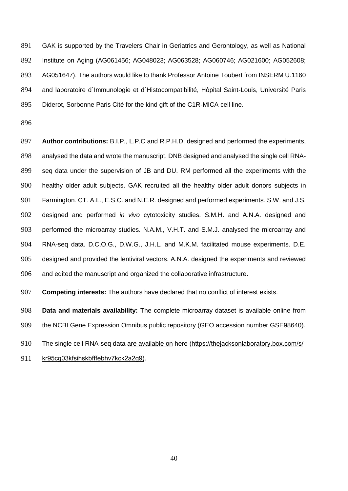891 892 893 894 895 GAK is supported by the Travelers Chair in Geriatrics and Gerontology, as well as National Institute on Aging (AG061456; AG048023; AG063528; AG060746; AG021600; AG052608; AG051647). The authors would like to thank Professor Antoine Toubert from INSERM U.1160 and laboratoire d´Immunologie et d´Histocompatibilité, Hôpital Saint-Louis, Université Paris Diderot, Sorbonne Paris Cité for the kind gift of the C1R-MICA cell line.

896

897 898 899 900 901 902 903 904 905 906 **Author contributions:** B.I.P., L.P.C and R.P.H.D. designed and performed the experiments, analysed the data and wrote the manuscript. DNB designed and analysed the single cell RNAseq data under the supervision of JB and DU. RM performed all the experiments with the healthy older adult subjects. GAK recruited all the healthy older adult donors subjects in Farmington. CT. A.L., E.S.C. and N.E.R. designed and performed experiments. S.W. and J.S. designed and performed *in vivo* cytotoxicity studies. S.M.H. and A.N.A. designed and performed the microarray studies. N.A.M., V.H.T. and S.M.J. analysed the microarray and RNA-seq data. D.C.O.G., D.W.G., J.H.L. and M.K.M. facilitated mouse experiments. D.E. designed and provided the lentiviral vectors. A.N.A. designed the experiments and reviewed and edited the manuscript and organized the collaborative infrastructure.

907 **Competing interests:** The authors have declared that no conflict of interest exists.

908 **Data and materials availability:** The complete microarray dataset is available online from

909 the NCBI Gene Expression Omnibus public repository (GEO accession number GSE98640).

The single cell RNA-seq data are available on here (https://thejacksonlaboratory.box.com/s/ 910

kr95cg03kfsihskbfffebhv7kck2a2g9). 911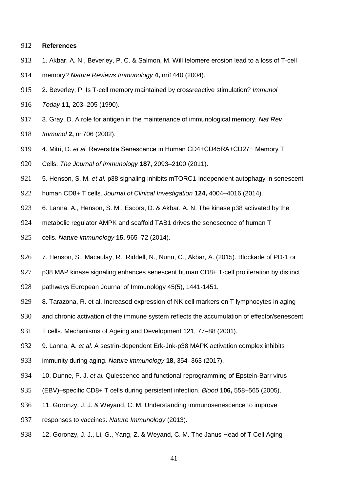### **References**

- 913 1. Akbar, A. N., Beverley, P. C. & Salmon, M. Will telomere erosion lead to a loss of T-cell
- memory? *Nature Reviews Immunology* **4,** nri1440 (2004).
- 2. Beverley, P. Is T-cell memory maintained by crossreactive stimulation? *Immunol*
- *Today* **11,** 203–205 (1990).
- 3. Gray, D. A role for antigen in the maintenance of immunological memory. *Nat Rev*
- *Immunol* **2,** nri706 (2002).
- 919 4. Mitri, D. *et al.* Reversible Senescence in Human CD4+CD45RA+CD27− Memory T
- Cells. *The Journal of Immunology* **187,** 2093–2100 (2011).
- 5. Henson, S. M. *et al.* p38 signaling inhibits mTORC1-independent autophagy in senescent
- human CD8+ T cells. *Journal of Clinical Investigation* **124,** 4004–4016 (2014).
- 6. Lanna, A., Henson, S. M., Escors, D. & Akbar, A. N. The kinase p38 activated by the
- metabolic regulator AMPK and scaffold TAB1 drives the senescence of human T
- cells. *Nature immunology* **15,** 965–72 (2014).
- 926 7. Henson, S., Macaulay, R., Riddell, N., Nunn, C., Akbar, A. (2015). Blockade of PD-1 or
- 927 p38 MAP kinase signaling enhances senescent human CD8+ T-cell proliferation by distinct
- pathways European Journal of Immunology 45(5), 1441-1451.
- 929 8. Tarazona, R. et al. Increased expression of NK cell markers on T lymphocytes in aging
- 930 and chronic activation of the immune system reflects the accumulation of effector/senescent
- T cells. Mechanisms of Ageing and Development 121, 77–88 (2001).
- 9. Lanna, A. *et al.* A sestrin-dependent Erk-Jnk-p38 MAPK activation complex inhibits
- immunity during aging. *Nature immunology* **18,** 354–363 (2017).
- 10. Dunne, P. J. *et al.* Quiescence and functional reprogramming of Epstein-Barr virus
- (EBV)–specific CD8+ T cells during persistent infection. *Blood* **106,** 558–565 (2005).
- 11. Goronzy, J. J. & Weyand, C. M. Understanding immunosenescence to improve
- responses to vaccines. *Nature Immunology* (2013).
- 938 12. Goronzy, J. J., Li, G., Yang, Z. & Weyand, C. M. The Janus Head of T Cell Aging –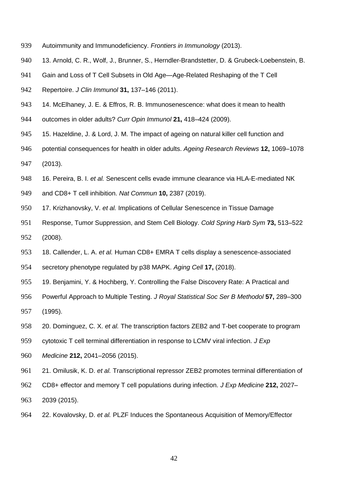- Autoimmunity and Immunodeficiency. *Frontiers in Immunology* (2013).
- 13. Arnold, C. R., Wolf, J., Brunner, S., Herndler-Brandstetter, D. & Grubeck-Loebenstein, B.
- Gain and Loss of T Cell Subsets in Old Age—Age-Related Reshaping of the T Cell
- Repertoire. *J Clin Immunol* **31,** 137–146 (2011).
- 943 14. McElhaney, J. E. & Effros, R. B. Immunosenescence: what does it mean to health
- outcomes in older adults? *Curr Opin Immunol* **21,** 418–424 (2009).
- 945 15. Hazeldine, J. & Lord, J. M. The impact of ageing on natural killer cell function and
- potential consequences for health in older adults. *Ageing Research Reviews* **12,** 1069–1078 (2013).
- 16. Pereira, B. I. *et al.* Senescent cells evade immune clearance via HLA-E-mediated NK
- and CD8+ T cell inhibition. *Nat Commun* **10,** 2387 (2019).
- 17. Krizhanovsky, V. *et al.* Implications of Cellular Senescence in Tissue Damage
- Response, Tumor Suppression, and Stem Cell Biology. *Cold Spring Harb Sym* **73,** 513–522 (2008).
- 18. Callender, L. A. *et al.* Human CD8+ EMRA T cells display a senescence‐associated
- secretory phenotype regulated by p38 MAPK. *Aging Cell* **17,** (2018).
- 19. Benjamini, Y. & Hochberg, Y. Controlling the False Discovery Rate: A Practical and
- Powerful Approach to Multiple Testing. *J Royal Statistical Soc Ser B Methodol* **57,** 289–300 (1995).
- 20. Dominguez, C. X. *et al.* The transcription factors ZEB2 and T-bet cooperate to program
- cytotoxic T cell terminal differentiation in response to LCMV viral infection. *J Exp*
- *Medicine* **212,** 2041–2056 (2015).
- 21. Omilusik, K. D. *et al.* Transcriptional repressor ZEB2 promotes terminal differentiation of
- CD8+ effector and memory T cell populations during infection. *J Exp Medicine* **212,** 2027–
- 2039 (2015).
- 22. Kovalovsky, D. *et al.* PLZF Induces the Spontaneous Acquisition of Memory/Effector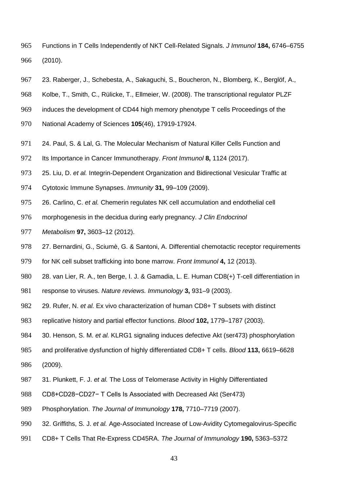- Functions in T Cells Independently of NKT Cell-Related Signals. *J Immunol* **184,** 6746–6755 (2010).
- 23. Raberger, J., Schebesta, A., Sakaguchi, S., Boucheron, N., Blomberg, K., Berglöf, A.,
- Kolbe, T., Smith, C., Rülicke, T., Ellmeier, W. (2008). The transcriptional regulator PLZF
- induces the development of CD44 high memory phenotype T cells Proceedings of the
- National Academy of Sciences **105**(46), 17919-17924.
- 971 24. Paul, S. & Lal, G. The Molecular Mechanism of Natural Killer Cells Function and
- Its Importance in Cancer Immunotherapy. *Front Immunol* **8,** 1124 (2017).
- 25. Liu, D. *et al.* Integrin-Dependent Organization and Bidirectional Vesicular Traffic at
- Cytotoxic Immune Synapses. *Immunity* **31,** 99–109 (2009).
- 26. Carlino, C. *et al.* Chemerin regulates NK cell accumulation and endothelial cell
- morphogenesis in the decidua during early pregnancy. *J Clin Endocrinol*
- *Metabolism* **97,** 3603–12 (2012).
- 27. Bernardini, G., Sciumè, G. & Santoni, A. Differential chemotactic receptor requirements
- for NK cell subset trafficking into bone marrow. *Front Immunol* **4,** 12 (2013).
- 28. van Lier, R. A., ten Berge, I. J. & Gamadia, L. E. Human CD8(+) T-cell differentiation in
- response to viruses. *Nature reviews. Immunology* **3,** 931–9 (2003).
- 29. Rufer, N. *et al.* Ex vivo characterization of human CD8+ T subsets with distinct
- replicative history and partial effector functions. *Blood* **102,** 1779–1787 (2003).
- 30. Henson, S. M. *et al.* KLRG1 signaling induces defective Akt (ser473) phosphorylation
- and proliferative dysfunction of highly differentiated CD8+ T cells. *Blood* **113,** 6619–6628
- (2009).
- 31. Plunkett, F. J. *et al.* The Loss of Telomerase Activity in Highly Differentiated
- CD8+CD28−CD27− T Cells Is Associated with Decreased Akt (Ser473)
- Phosphorylation. *The Journal of Immunology* **178,** 7710–7719 (2007).
- 32. Griffiths, S. J. *et al.* Age-Associated Increase of Low-Avidity Cytomegalovirus-Specific
- CD8+ T Cells That Re-Express CD45RA. *The Journal of Immunology* **190,** 5363–5372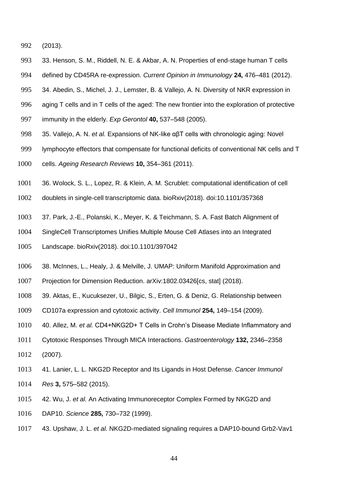(2013).

- 33. Henson, S. M., Riddell, N. E. & Akbar, A. N. Properties of end-stage human T cells
- defined by CD45RA re-expression. *Current Opinion in Immunology* **24,** 476–481 (2012).
- 34. Abedin, S., Michel, J. J., Lemster, B. & Vallejo, A. N. Diversity of NKR expression in
- aging T cells and in T cells of the aged: The new frontier into the exploration of protective
- immunity in the elderly. *Exp Gerontol* **40,** 537–548 (2005).
- 35. Vallejo, A. N. *et al.* Expansions of NK-like αβT cells with chronologic aging: Novel
- lymphocyte effectors that compensate for functional deficits of conventional NK cells and T
- cells. *Ageing Research Reviews* **10,** 354–361 (2011).
- 36. Wolock, S. L., Lopez, R. & Klein, A. M. Scrublet: computational identification of cell
- doublets in single-cell transcriptomic data. bioRxiv(2018). doi:10.1101/357368
- 37. Park, J.-E., Polanski, K., Meyer, K. & Teichmann, S. A. Fast Batch Alignment of
- SingleCell Transcriptomes Unifies Multiple Mouse Cell Atlases into an Integrated
- Landscape. bioRxiv(2018). doi:10.1101/397042
- 38. McInnes, L., Healy, J. & Melville, J. UMAP: Uniform Manifold Approximation and
- Projection for Dimension Reduction. arXiv:1802.03426[cs, stat] (2018).
- 39. Aktas, E., Kucuksezer, U., Bilgic, S., Erten, G. & Deniz, G. Relationship between
- CD107a expression and cytotoxic activity. *Cell Immunol* **254,** 149–154 (2009).
- 40. Allez, M. *et al.* CD4+NKG2D+ T Cells in Crohn's Disease Mediate Inflammatory and
- Cytotoxic Responses Through MICA Interactions. *Gastroenterology* **132,** 2346–2358 (2007).
- 41. Lanier, L. L. NKG2D Receptor and Its Ligands in Host Defense. *Cancer Immunol Res* **3,** 575–582 (2015).
- 42. Wu, J. *et al.* An Activating Immunoreceptor Complex Formed by NKG2D and
- DAP10. *Science* **285,** 730–732 (1999).
- 43. Upshaw, J. L. *et al.* NKG2D-mediated signaling requires a DAP10-bound Grb2-Vav1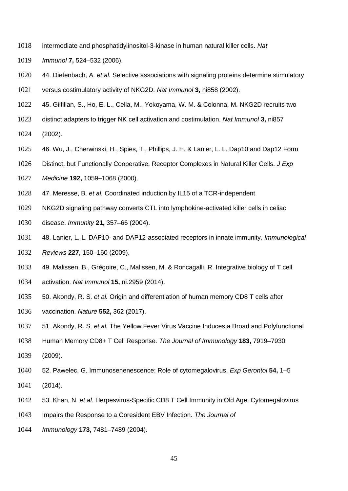- intermediate and phosphatidylinositol-3-kinase in human natural killer cells. *Nat*
- *Immunol* **7,** 524–532 (2006).
- 44. Diefenbach, A. *et al.* Selective associations with signaling proteins determine stimulatory versus costimulatory activity of NKG2D. *Nat Immunol* **3,** ni858 (2002).
- 
- 45. Gilfillan, S., Ho, E. L., Cella, M., Yokoyama, W. M. & Colonna, M. NKG2D recruits two
- distinct adapters to trigger NK cell activation and costimulation. *Nat Immunol* **3,** ni857
- (2002).
- 46. Wu, J., Cherwinski, H., Spies, T., Phillips, J. H. & Lanier, L. L. Dap10 and Dap12 Form
- Distinct, but Functionally Cooperative, Receptor Complexes in Natural Killer Cells. *J Exp*
- *Medicine* **192,** 1059–1068 (2000).
- 47. Meresse, B. *et al.* Coordinated induction by IL15 of a TCR-independent
- NKG2D signaling pathway converts CTL into lymphokine-activated killer cells in celiac
- disease. *Immunity* **21,** 357–66 (2004).
- 48. Lanier, L. L. DAP10‐ and DAP12‐associated receptors in innate immunity. *Immunological*
- *Reviews* **227,** 150–160 (2009).
- 49. Malissen, B., Grégoire, C., Malissen, M. & Roncagalli, R. Integrative biology of T cell
- activation. *Nat Immunol* **15,** ni.2959 (2014).
- 50. Akondy, R. S. *et al.* Origin and differentiation of human memory CD8 T cells after
- vaccination. *Nature* **552,** 362 (2017).
- 51. Akondy, R. S. *et al.* The Yellow Fever Virus Vaccine Induces a Broad and Polyfunctional
- Human Memory CD8+ T Cell Response. *The Journal of Immunology* **183,** 7919–7930
- (2009).
- 52. Pawelec, G. Immunosenenescence: Role of cytomegalovirus. *Exp Gerontol* **54,** 1–5
- (2014).
- 53. Khan, N. *et al.* Herpesvirus-Specific CD8 T Cell Immunity in Old Age: Cytomegalovirus
- Impairs the Response to a Coresident EBV Infection. *The Journal of*
- *Immunology* **173,** 7481–7489 (2004).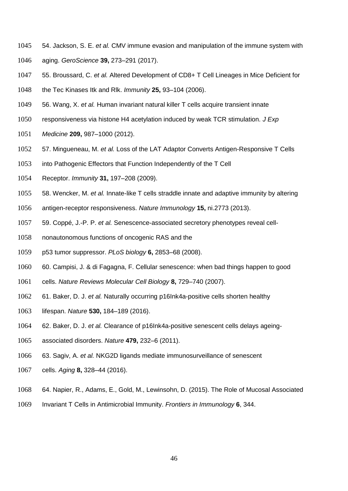- 54. Jackson, S. E. *et al.* CMV immune evasion and manipulation of the immune system with aging. *GeroScience* **39,** 273–291 (2017).
- 55. Broussard, C. *et al.* Altered Development of CD8+ T Cell Lineages in Mice Deficient for
- the Tec Kinases Itk and Rlk. *Immunity* **25,** 93–104 (2006).
- 56. Wang, X. *et al.* Human invariant natural killer T cells acquire transient innate
- responsiveness via histone H4 acetylation induced by weak TCR stimulation. *J Exp*
- *Medicine* **209,** 987–1000 (2012).
- 57. Mingueneau, M. *et al.* Loss of the LAT Adaptor Converts Antigen-Responsive T Cells
- into Pathogenic Effectors that Function Independently of the T Cell
- Receptor. *Immunity* **31,** 197–208 (2009).
- 58. Wencker, M. *et al.* Innate-like T cells straddle innate and adaptive immunity by altering
- antigen-receptor responsiveness. *Nature Immunology* **15,** ni.2773 (2013).
- 59. Coppé, J.-P. P. *et al.* Senescence-associated secretory phenotypes reveal cell-
- nonautonomous functions of oncogenic RAS and the
- p53 tumor suppressor. *PLoS biology* **6,** 2853–68 (2008).
- 60. Campisi, J. & di Fagagna, F. Cellular senescence: when bad things happen to good
- cells. *Nature Reviews Molecular Cell Biology* **8,** 729–740 (2007).
- 61. Baker, D. J. *et al.* Naturally occurring p16Ink4a-positive cells shorten healthy
- lifespan. *Nature* **530,** 184–189 (2016).
- 62. Baker, D. J. *et al.* Clearance of p16Ink4a-positive senescent cells delays ageing-
- associated disorders. *Nature* **479,** 232–6 (2011).
- 63. Sagiv, A. *et al.* NKG2D ligands mediate immunosurveillance of senescent
- cells. *Aging* **8,** 328–44 (2016).
- 64. Napier, R., Adams, E., Gold, M., Lewinsohn, D. (2015). The Role of Mucosal Associated
- Invariant T Cells in Antimicrobial Immunity. *Frontiers in Immunology* **6**, 344.